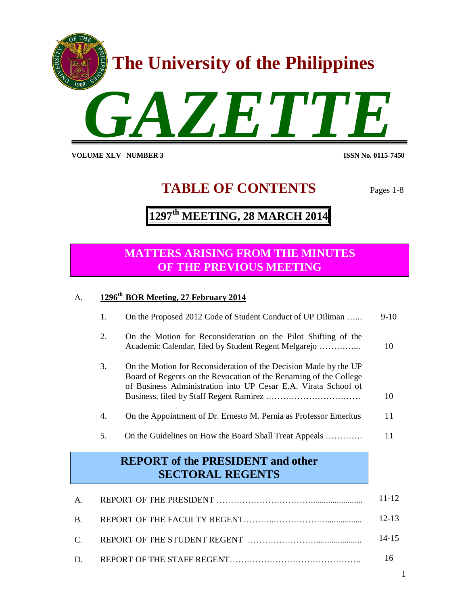

**VOLUME XLV NUMBER 3** 

**ISSN No. 0115-7450** 

# **TABLE OF CONTENTS** Pages 1-8

# **1297 th MEETING, 28 MARCH 2014**

### **MATTERS ARISING FROM THE MINUTES OF THE PREVIOUS MEETING**

### A. **1296th BOR Meeting, 27 February 2014**

|                                                                     | 1. | On the Proposed 2012 Code of Student Conduct of UP Diliman                                                                                                                                              | $9-10$    |
|---------------------------------------------------------------------|----|---------------------------------------------------------------------------------------------------------------------------------------------------------------------------------------------------------|-----------|
|                                                                     | 2. | On the Motion for Reconsideration on the Pilot Shifting of the                                                                                                                                          | 10        |
|                                                                     | 3. | On the Motion for Reconsideration of the Decision Made by the UP<br>Board of Regents on the Revocation of the Renaming of the College<br>of Business Administration into UP Cesar E.A. Virata School of | 10        |
|                                                                     | 4. | On the Appointment of Dr. Ernesto M. Pernia as Professor Emeritus                                                                                                                                       | 11        |
|                                                                     | 5. | On the Guidelines on How the Board Shall Treat Appeals                                                                                                                                                  | 11        |
| <b>REPORT</b> of the PRESIDENT and other<br><b>SECTORAL REGENTS</b> |    |                                                                                                                                                                                                         |           |
| А.                                                                  |    |                                                                                                                                                                                                         | 11-12     |
| B.                                                                  |    |                                                                                                                                                                                                         | $12 - 13$ |

- C. REPORT OF THE STUDENT REGENT ……………………..................... 14-15
- D. REPORT OF THE STAFF REGENT………………………………………. 16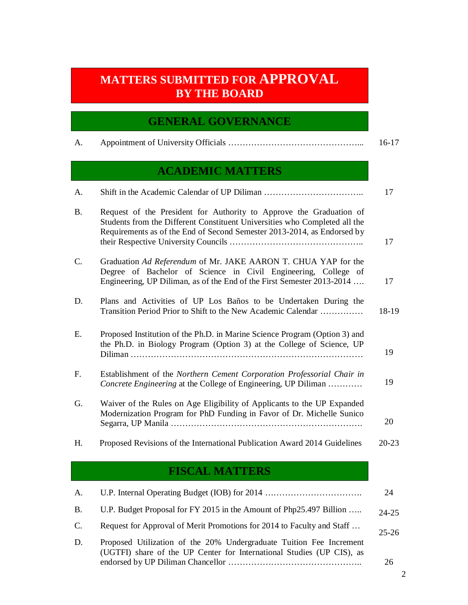# **MATTERS SUBMITTED FOR APPROVAL BY THE BOARD**

### **GENERAL GOVERNANCE**

|  | $16-17$ |
|--|---------|
|  |         |

## **ACADEMIC MATTERS**

| Α.        |                                                                                                                                                                                                                              | 17        |
|-----------|------------------------------------------------------------------------------------------------------------------------------------------------------------------------------------------------------------------------------|-----------|
| <b>B.</b> | Request of the President for Authority to Approve the Graduation of<br>Students from the Different Constituent Universities who Completed all the<br>Requirements as of the End of Second Semester 2013-2014, as Endorsed by | 17        |
| C.        | Graduation Ad Referendum of Mr. JAKE AARON T. CHUA YAP for the<br>Degree of Bachelor of Science in Civil Engineering, College of<br>Engineering, UP Diliman, as of the End of the First Semester 2013-2014                   | 17        |
| D.        | Plans and Activities of UP Los Baños to be Undertaken During the<br>Transition Period Prior to Shift to the New Academic Calendar                                                                                            | 18-19     |
| E.        | Proposed Institution of the Ph.D. in Marine Science Program (Option 3) and<br>the Ph.D. in Biology Program (Option 3) at the College of Science, UP                                                                          | 19        |
| F.        | Establishment of the Northern Cement Corporation Professorial Chair in<br>Concrete Engineering at the College of Engineering, UP Diliman                                                                                     | 19        |
| G.        | Waiver of the Rules on Age Eligibility of Applicants to the UP Expanded<br>Modernization Program for PhD Funding in Favor of Dr. Michelle Sunico                                                                             | 20        |
| H.        | Proposed Revisions of the International Publication Award 2014 Guidelines                                                                                                                                                    | $20 - 23$ |

## **FISCAL MATTERS**

| A.        |                                                                                                                                              | 24        |
|-----------|----------------------------------------------------------------------------------------------------------------------------------------------|-----------|
| <b>B.</b> | U.P. Budget Proposal for FY 2015 in the Amount of Php25.497 Billion                                                                          | $24 - 25$ |
| C.        | Request for Approval of Merit Promotions for 2014 to Faculty and Staff                                                                       | $25 - 26$ |
| D.        | Proposed Utilization of the 20% Undergraduate Tuition Fee Increment<br>(UGTFI) share of the UP Center for International Studies (UP CIS), as |           |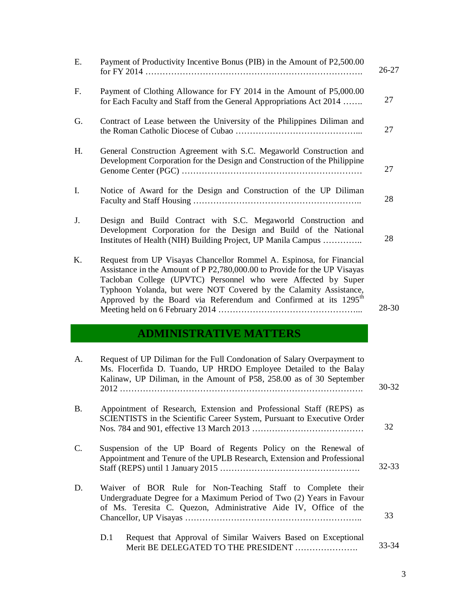| Ε.        | Payment of Productivity Incentive Bonus (PIB) in the Amount of P2,500.00                                                                                                                                                                                                                                                                                                | $26 - 27$       |
|-----------|-------------------------------------------------------------------------------------------------------------------------------------------------------------------------------------------------------------------------------------------------------------------------------------------------------------------------------------------------------------------------|-----------------|
| F.        | Payment of Clothing Allowance for FY 2014 in the Amount of P5,000.00<br>for Each Faculty and Staff from the General Appropriations Act 2014                                                                                                                                                                                                                             | 27              |
| G.        | Contract of Lease between the University of the Philippines Diliman and                                                                                                                                                                                                                                                                                                 | 27              |
| Η.        | General Construction Agreement with S.C. Megaworld Construction and<br>Development Corporation for the Design and Construction of the Philippine                                                                                                                                                                                                                        | 27              |
| I.        | Notice of Award for the Design and Construction of the UP Diliman                                                                                                                                                                                                                                                                                                       | 28              |
| J.        | Design and Build Contract with S.C. Megaworld Construction and<br>Development Corporation for the Design and Build of the National<br>Institutes of Health (NIH) Building Project, UP Manila Campus                                                                                                                                                                     | 28              |
| Κ.        | Request from UP Visayas Chancellor Rommel A. Espinosa, for Financial<br>Assistance in the Amount of P P2,780,000.00 to Provide for the UP Visayas<br>Tacloban College (UPVTC) Personnel who were Affected by Super<br>Typhoon Yolanda, but were NOT Covered by the Calamity Assistance,<br>Approved by the Board via Referendum and Confirmed at its 1295 <sup>th</sup> | 28-30           |
|           | <b>ADMINISTRATIVE MATTERS</b>                                                                                                                                                                                                                                                                                                                                           |                 |
| A.        |                                                                                                                                                                                                                                                                                                                                                                         |                 |
|           | Request of UP Diliman for the Full Condonation of Salary Overpayment to<br>Ms. Flocerfida D. Tuando, UP HRDO Employee Detailed to the Balay<br>Kalinaw, UP Diliman, in the Amount of P58, 258.00 as of 30 September                                                                                                                                                     | $30 - 32$       |
| <b>B.</b> | Appointment of Research, Extension and Professional Staff (REPS) as<br>SCIENTISTS in the Scientific Career System, Pursuant to Executive Order                                                                                                                                                                                                                          | 32              |
| C.        | Suspension of the UP Board of Regents Policy on the Renewal of<br>Appointment and Tenure of the UPLB Research, Extension and Professional                                                                                                                                                                                                                               |                 |
| D.        | Waiver of BOR Rule for Non-Teaching Staff to Complete their<br>Undergraduate Degree for a Maximum Period of Two (2) Years in Favour<br>of Ms. Teresita C. Quezon, Administrative Aide IV, Office of the                                                                                                                                                                 | $32 - 33$<br>33 |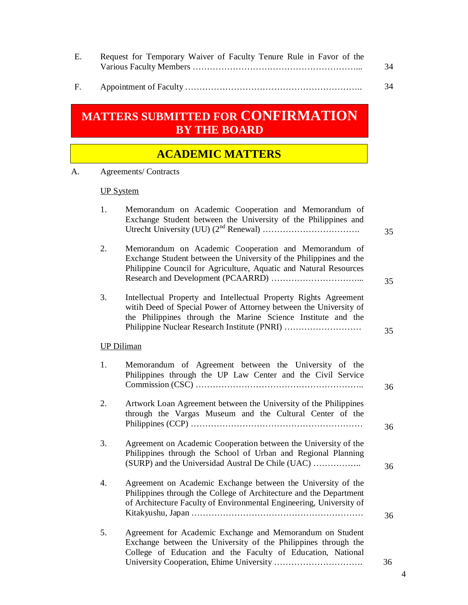| Е. | Request for Temporary Waiver of Faculty Tenure Rule in Favor of the |    |
|----|---------------------------------------------------------------------|----|
|    |                                                                     | 34 |

F. Appointment of Faculty …………………………………………………….. 34

# **MATTERS SUBMITTED FOR CONFIRMATION BY THE BOARD**

### **ACADEMIC MATTERS**

A. Agreements/ Contracts

### UP System

| 1.                | Memorandum on Academic Cooperation and Memorandum of<br>Exchange Student between the University of the Philippines and                                                                                                                                | 35 |
|-------------------|-------------------------------------------------------------------------------------------------------------------------------------------------------------------------------------------------------------------------------------------------------|----|
| 2.                | Memorandum on Academic Cooperation and Memorandum of<br>Exchange Student between the University of the Philippines and the<br>Philippine Council for Agriculture, Aquatic and Natural Resources                                                       | 35 |
| 3.                | Intellectual Property and Intellectual Property Rights Agreement<br>witih Deed of Special Power of Attorney between the University of<br>the Philippines through the Marine Science Institute and the<br>Philippine Nuclear Research Institute (PNRI) | 35 |
| <b>UP Diliman</b> |                                                                                                                                                                                                                                                       |    |
| 1.                | Memorandum of Agreement between the University of the<br>Philippines through the UP Law Center and the Civil Service                                                                                                                                  | 36 |
| 2.                | Artwork Loan Agreement between the University of the Philippines<br>through the Vargas Museum and the Cultural Center of the                                                                                                                          | 36 |
| 3.                | Agreement on Academic Cooperation between the University of the<br>Philippines through the School of Urban and Regional Planning<br>(SURP) and the Universidad Austral De Chile (UAC)                                                                 | 36 |
| 4.                | Agreement on Academic Exchange between the University of the<br>Philippines through the College of Architecture and the Department<br>of Architecture Faculty of Environmental Engineering, University of                                             | 36 |
| 5.                | Agreement for Academic Exchange and Memorandum on Student<br>Exchange between the University of the Philippines through the<br>College of Education and the Faculty of Education, National                                                            | 36 |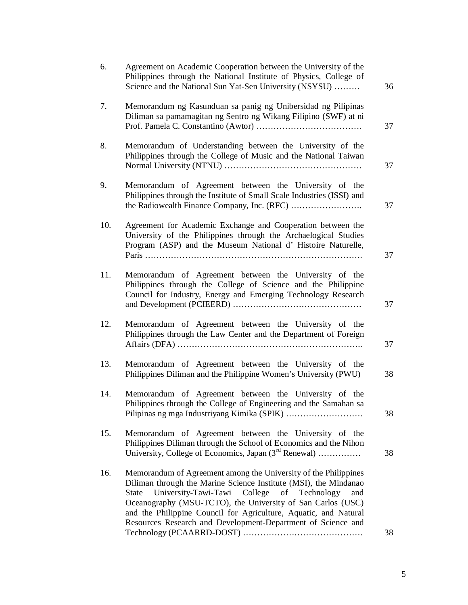| 6.  | Agreement on Academic Cooperation between the University of the<br>Philippines through the National Institute of Physics, College of<br>Science and the National Sun Yat-Sen University (NSYSU)                                                                                                                                                                                                      | 36 |
|-----|------------------------------------------------------------------------------------------------------------------------------------------------------------------------------------------------------------------------------------------------------------------------------------------------------------------------------------------------------------------------------------------------------|----|
| 7.  | Memorandum ng Kasunduan sa panig ng Unibersidad ng Pilipinas<br>Diliman sa pamamagitan ng Sentro ng Wikang Filipino (SWF) at ni                                                                                                                                                                                                                                                                      | 37 |
| 8.  | Memorandum of Understanding between the University of the<br>Philippines through the College of Music and the National Taiwan                                                                                                                                                                                                                                                                        | 37 |
| 9.  | Memorandum of Agreement between the University of the<br>Philippines through the Institute of Small Scale Industries (ISSI) and                                                                                                                                                                                                                                                                      | 37 |
| 10. | Agreement for Academic Exchange and Cooperation between the<br>University of the Philippines through the Archaelogical Studies<br>Program (ASP) and the Museum National d' Histoire Naturelle,                                                                                                                                                                                                       | 37 |
| 11. | Memorandum of Agreement between the University of the<br>Philippines through the College of Science and the Philippine<br>Council for Industry, Energy and Emerging Technology Research                                                                                                                                                                                                              | 37 |
| 12. | Memorandum of Agreement between the University of the<br>Philippines through the Law Center and the Department of Foreign                                                                                                                                                                                                                                                                            | 37 |
| 13. | Memorandum of Agreement between the University of the<br>Philippines Diliman and the Philippine Women's University (PWU)                                                                                                                                                                                                                                                                             | 38 |
| 14. | Memorandum of Agreement between the University of the<br>Philippines through the College of Engineering and the Samahan sa                                                                                                                                                                                                                                                                           | 38 |
| 15. | Memorandum of Agreement between the University of the<br>Philippines Diliman through the School of Economics and the Nihon<br>University, College of Economics, Japan (3 <sup>rd</sup> Renewal)                                                                                                                                                                                                      | 38 |
| 16. | Memorandum of Agreement among the University of the Philippines<br>Diliman through the Marine Science Institute (MSI), the Mindanao<br>University-Tawi-Tawi College of Technology<br>State<br>and<br>Oceanography (MSU-TCTO), the University of San Carlos (USC)<br>and the Philippine Council for Agriculture, Aquatic, and Natural<br>Resources Research and Development-Department of Science and | 38 |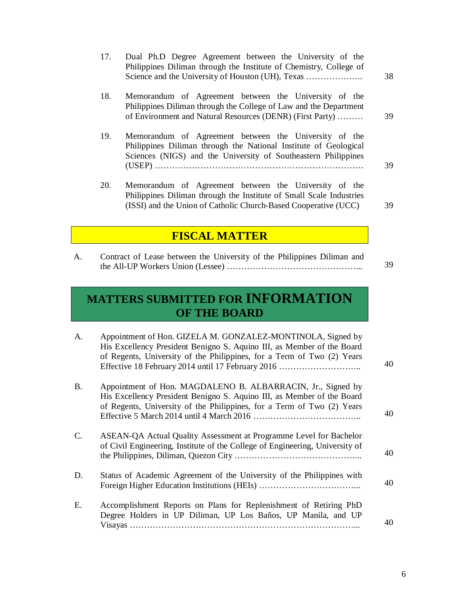| 17. | Dual Ph.D Degree Agreement between the University of the<br>Philippines Diliman through the Institute of Chemistry, College of                                                                  | 38 |
|-----|-------------------------------------------------------------------------------------------------------------------------------------------------------------------------------------------------|----|
| 18. | Memorandum of Agreement between the University of the<br>Philippines Diliman through the College of Law and the Department<br>of Environment and Natural Resources (DENR) (First Party)         | 39 |
| 19. | Memorandum of Agreement between the University of the<br>Philippines Diliman through the National Institute of Geological<br>Sciences (NIGS) and the University of Southeastern Philippines     | 39 |
| 20. | Memorandum of Agreement between the University of the<br>Philippines Diliman through the Institute of Small Scale Industries<br>(ISSI) and the Union of Catholic Church-Based Cooperative (UCC) | 39 |

### **FISCAL MATTER**

A. Contract of Lease between the University of the Philippines Diliman and the All-UP Workers Union (Lessee) ………………………………………... 39

# **MATTERS SUBMITTED FOR INFORMATION OF THE BOARD**

| A.             | Appointment of Hon. GIZELA M. GONZALEZ-MONTINOLA, Signed by<br>His Excellency President Benigno S. Aquino III, as Member of the Board<br>of Regents, University of the Philippines, for a Term of Two (2) Years<br>Effective 18 February 2014 until 17 February 2016 | 40 |
|----------------|----------------------------------------------------------------------------------------------------------------------------------------------------------------------------------------------------------------------------------------------------------------------|----|
| <b>B.</b>      | Appointment of Hon. MAGDALENO B. ALBARRACIN, Jr., Signed by<br>His Excellency President Benigno S. Aquino III, as Member of the Board<br>of Regents, University of the Philippines, for a Term of Two (2) Years                                                      | 40 |
| $\mathbf{C}$ . | ASEAN-QA Actual Quality Assessment at Programme Level for Bachelor<br>of Civil Engineering, Institute of the College of Engineering, University of                                                                                                                   | 40 |
| D.             | Status of Academic Agreement of the University of the Philippines with                                                                                                                                                                                               | 40 |
| Ε.             | Accomplishment Reports on Plans for Replenishment of Retiring PhD<br>Degree Holders in UP Diliman, UP Los Baños, UP Manila, and UP                                                                                                                                   | 40 |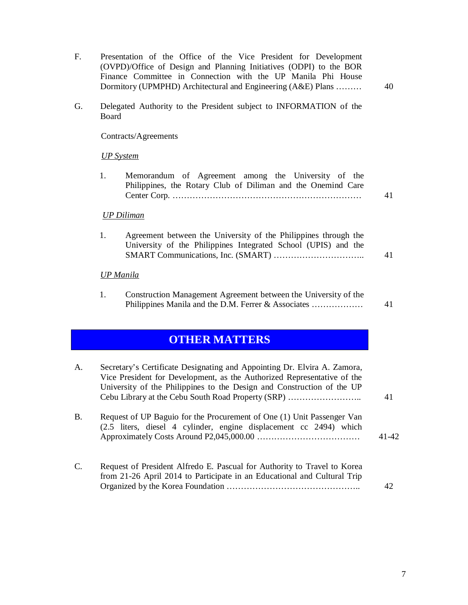| $F_{\cdot}$ | Presentation of the Office of the Vice President for Development<br>(OVPD)/Office of Design and Planning Initiatives (ODPI) to the BOR<br>Finance Committee in Connection with the UP Manila Phi House<br>Dormitory (UPMPHD) Architectural and Engineering (A&E) Plans              | 40    |
|-------------|-------------------------------------------------------------------------------------------------------------------------------------------------------------------------------------------------------------------------------------------------------------------------------------|-------|
| G.          | Delegated Authority to the President subject to INFORMATION of the<br>Board                                                                                                                                                                                                         |       |
|             | Contracts/Agreements                                                                                                                                                                                                                                                                |       |
|             | <b>UP</b> System                                                                                                                                                                                                                                                                    |       |
|             | Memorandum of Agreement among the University of the<br>1.<br>Philippines, the Rotary Club of Diliman and the Onemind Care                                                                                                                                                           | 41    |
|             | <b>UP Diliman</b>                                                                                                                                                                                                                                                                   |       |
|             | Agreement between the University of the Philippines through the<br>1.<br>University of the Philippines Integrated School (UPIS) and the                                                                                                                                             | 41    |
|             | <b>UP</b> Manila                                                                                                                                                                                                                                                                    |       |
|             | Construction Management Agreement between the University of the<br>1.<br>Philippines Manila and the D.M. Ferrer & Associates                                                                                                                                                        | 41    |
|             | <b>OTHER MATTERS</b>                                                                                                                                                                                                                                                                |       |
| A.          | Secretary's Certificate Designating and Appointing Dr. Elvira A. Zamora,<br>Vice President for Development, as the Authorized Representative of the<br>University of the Philippines to the Design and Construction of the UP<br>Cebu Library at the Cebu South Road Property (SRP) | 41    |
| <b>B.</b>   | Request of UP Baguio for the Procurement of One (1) Unit Passenger Van<br>(2.5 liters, diesel 4 cylinder, engine displacement cc 2494) which                                                                                                                                        | 41-42 |
| C.          | Request of President Alfredo E. Pascual for Authority to Travel to Korea<br>from 21-26 April 2014 to Participate in an Educational and Cultural Trip                                                                                                                                | 42    |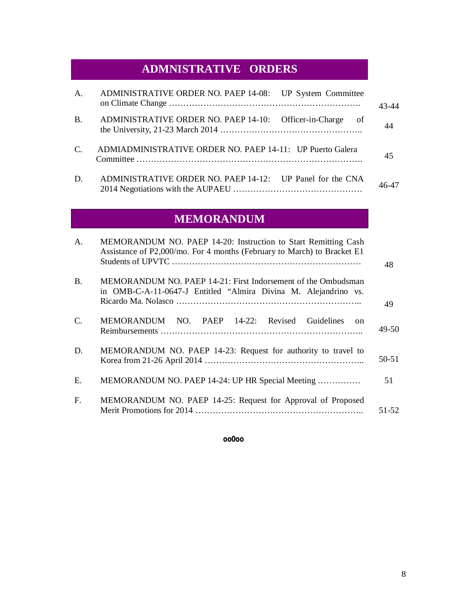# **ADMNISTRATIVE ORDERS**

| $\mathsf{A}$ .  | ADMINISTRATIVE ORDER NO. PAEP 14-08: UP System Committee       | $\Delta$ 3- $\Delta$ $\Delta$ |
|-----------------|----------------------------------------------------------------|-------------------------------|
| <b>B.</b>       | ADMINISTRATIVE ORDER NO. PAEP 14-10: Officer-in-Charge<br>- of |                               |
| $\mathcal{C}$ . | ADMIADMINISTRATIVE ORDER NO. PAEP 14-11: UP Puerto Galera      | 45                            |
| D.              | ADMINISTRATIVE ORDER NO. PAEP 14-12: UP Panel for the CNA      |                               |

# **MEMORANDUM**

| A.          | MEMORANDUM NO. PAEP 14-20: Instruction to Start Remitting Cash<br>Assistance of P2,000/mo. For 4 months (February to March) to Bracket E1 | 48        |
|-------------|-------------------------------------------------------------------------------------------------------------------------------------------|-----------|
| <b>B.</b>   | MEMORANDUM NO. PAEP 14-21: First Indorsement of the Ombudsman<br>in OMB-C-A-11-0647-J Entitled "Almira Divina M. Alejandrino vs.          | 49        |
| C.          | MEMORANDUM NO. PAEP 14-22: Revised Guidelines<br>$\alpha$                                                                                 | 49-50     |
| D.          | MEMORANDUM NO. PAEP 14-23: Request for authority to travel to                                                                             | $50 - 51$ |
| Ε.          | MEMORANDUM NO. PAEP 14-24: UP HR Special Meeting                                                                                          | 51        |
| $F_{\cdot}$ | MEMORANDUM NO. PAEP 14-25: Request for Approval of Proposed                                                                               | 51-52     |

#### **oo0oo**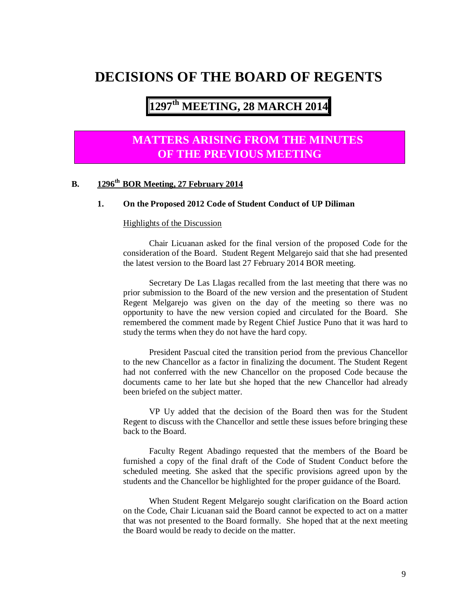### **DECISIONS OF THE BOARD OF REGENTS**

# **1297 th MEETING, 28 MARCH 2014**

### **MATTERS ARISING FROM THE MINUTES OF THE PREVIOUS MEETING**

#### **B. 1296th BOR Meeting, 27 February 2014**

#### **1. On the Proposed 2012 Code of Student Conduct of UP Diliman**

#### Highlights of the Discussion

Chair Licuanan asked for the final version of the proposed Code for the consideration of the Board. Student Regent Melgarejo said that she had presented the latest version to the Board last 27 February 2014 BOR meeting.

Secretary De Las Llagas recalled from the last meeting that there was no prior submission to the Board of the new version and the presentation of Student Regent Melgarejo was given on the day of the meeting so there was no opportunity to have the new version copied and circulated for the Board. She remembered the comment made by Regent Chief Justice Puno that it was hard to study the terms when they do not have the hard copy.

President Pascual cited the transition period from the previous Chancellor to the new Chancellor as a factor in finalizing the document. The Student Regent had not conferred with the new Chancellor on the proposed Code because the documents came to her late but she hoped that the new Chancellor had already been briefed on the subject matter.

VP Uy added that the decision of the Board then was for the Student Regent to discuss with the Chancellor and settle these issues before bringing these back to the Board.

Faculty Regent Abadingo requested that the members of the Board be furnished a copy of the final draft of the Code of Student Conduct before the scheduled meeting. She asked that the specific provisions agreed upon by the students and the Chancellor be highlighted for the proper guidance of the Board.

When Student Regent Melgarejo sought clarification on the Board action on the Code, Chair Licuanan said the Board cannot be expected to act on a matter that was not presented to the Board formally. She hoped that at the next meeting the Board would be ready to decide on the matter.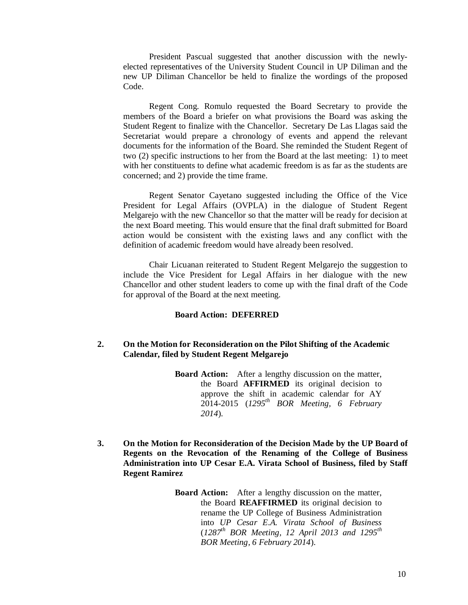President Pascual suggested that another discussion with the newlyelected representatives of the University Student Council in UP Diliman and the new UP Diliman Chancellor be held to finalize the wordings of the proposed Code.

Regent Cong. Romulo requested the Board Secretary to provide the members of the Board a briefer on what provisions the Board was asking the Student Regent to finalize with the Chancellor. Secretary De Las Llagas said the Secretariat would prepare a chronology of events and append the relevant documents for the information of the Board. She reminded the Student Regent of two (2) specific instructions to her from the Board at the last meeting: 1) to meet with her constituents to define what academic freedom is as far as the students are concerned; and 2) provide the time frame.

Regent Senator Cayetano suggested including the Office of the Vice President for Legal Affairs (OVPLA) in the dialogue of Student Regent Melgarejo with the new Chancellor so that the matter will be ready for decision at the next Board meeting. This would ensure that the final draft submitted for Board action would be consistent with the existing laws and any conflict with the definition of academic freedom would have already been resolved.

Chair Licuanan reiterated to Student Regent Melgarejo the suggestion to include the Vice President for Legal Affairs in her dialogue with the new Chancellor and other student leaders to come up with the final draft of the Code for approval of the Board at the next meeting.

#### **Board Action: DEFERRED**

#### **2. On the Motion for Reconsideration on the Pilot Shifting of the Academic Calendar, filed by Student Regent Melgarejo**

**Board Action:** After a lengthy discussion on the matter, the Board **AFFIRMED** its original decision to approve the shift in academic calendar for AY 2014-2015 (*1295th BOR Meeting, 6 February 2014*).

**3. On the Motion for Reconsideration of the Decision Made by the UP Board of Regents on the Revocation of the Renaming of the College of Business Administration into UP Cesar E.A. Virata School of Business, filed by Staff Regent Ramirez** 

> **Board Action:** After a lengthy discussion on the matter, the Board **REAFFIRMED** its original decision to rename the UP College of Business Administration into *UP Cesar E.A. Virata School of Business* (*1287th BOR Meeting, 12 April 2013 and 1295th BOR Meeting, 6 February 2014*).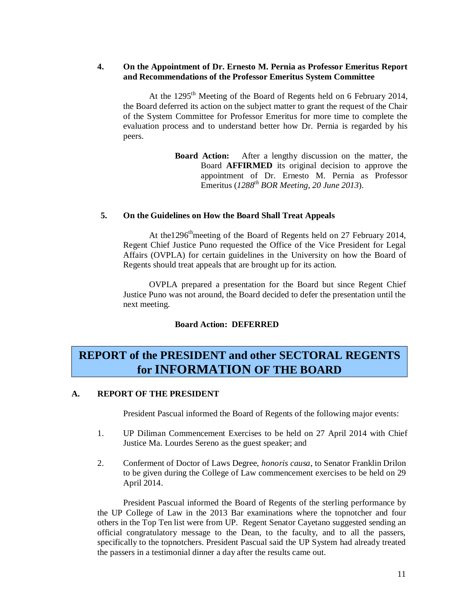#### **4. On the Appointment of Dr. Ernesto M. Pernia as Professor Emeritus Report and Recommendations of the Professor Emeritus System Committee**

At the 1295<sup>th</sup> Meeting of the Board of Regents held on 6 February 2014, the Board deferred its action on the subject matter to grant the request of the Chair of the System Committee for Professor Emeritus for more time to complete the evaluation process and to understand better how Dr. Pernia is regarded by his peers.

> **Board Action:** After a lengthy discussion on the matter, the Board **AFFIRMED** its original decision to approve the appointment of Dr. Ernesto M. Pernia as Professor Emeritus (*1288th BOR Meeting, 20 June 2013*).

#### **5. On the Guidelines on How the Board Shall Treat Appeals**

At the1296<sup>th</sup>meeting of the Board of Regents held on 27 February 2014, Regent Chief Justice Puno requested the Office of the Vice President for Legal Affairs (OVPLA) for certain guidelines in the University on how the Board of Regents should treat appeals that are brought up for its action.

OVPLA prepared a presentation for the Board but since Regent Chief Justice Puno was not around, the Board decided to defer the presentation until the next meeting.

#### **Board Action: DEFERRED**

### **REPORT of the PRESIDENT and other SECTORAL REGENTS for INFORMATION OF THE BOARD**

#### **A. REPORT OF THE PRESIDENT**

President Pascual informed the Board of Regents of the following major events:

- 1. UP Diliman Commencement Exercises to be held on 27 April 2014 with Chief Justice Ma. Lourdes Sereno as the guest speaker; and
- 2. Conferment of Doctor of Laws Degree, *honoris causa*, to Senator Franklin Drilon to be given during the College of Law commencement exercises to be held on 29 April 2014.

President Pascual informed the Board of Regents of the sterling performance by the UP College of Law in the 2013 Bar examinations where the topnotcher and four others in the Top Ten list were from UP. Regent Senator Cayetano suggested sending an official congratulatory message to the Dean, to the faculty, and to all the passers, specifically to the topnotchers. President Pascual said the UP System had already treated the passers in a testimonial dinner a day after the results came out.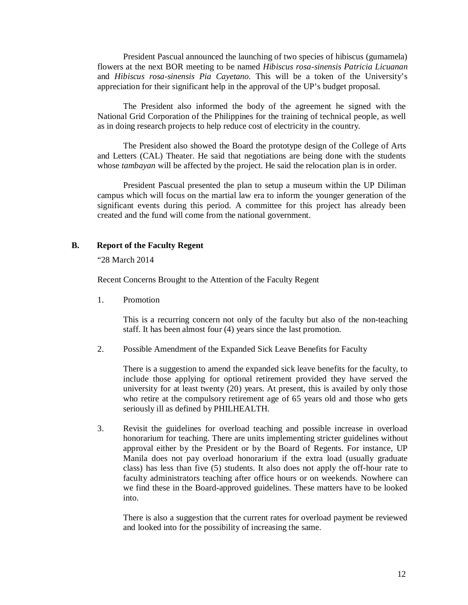President Pascual announced the launching of two species of hibiscus (gumamela) flowers at the next BOR meeting to be named *Hibiscus rosa-sinensis Patricia Licuanan*  and *Hibiscus rosa-sinensis Pia Cayetano.* This will be a token of the University's appreciation for their significant help in the approval of the UP's budget proposal.

The President also informed the body of the agreement he signed with the National Grid Corporation of the Philippines for the training of technical people, as well as in doing research projects to help reduce cost of electricity in the country.

The President also showed the Board the prototype design of the College of Arts and Letters (CAL) Theater. He said that negotiations are being done with the students whose *tambayan* will be affected by the project. He said the relocation plan is in order.

President Pascual presented the plan to setup a museum within the UP Diliman campus which will focus on the martial law era to inform the younger generation of the significant events during this period. A committee for this project has already been created and the fund will come from the national government.

#### **B. Report of the Faculty Regent**

"28 March 2014

Recent Concerns Brought to the Attention of the Faculty Regent

1. Promotion

This is a recurring concern not only of the faculty but also of the non-teaching staff. It has been almost four (4) years since the last promotion.

2. Possible Amendment of the Expanded Sick Leave Benefits for Faculty

There is a suggestion to amend the expanded sick leave benefits for the faculty, to include those applying for optional retirement provided they have served the university for at least twenty (20) years. At present, this is availed by only those who retire at the compulsory retirement age of 65 years old and those who gets seriously ill as defined by PHILHEALTH.

3. Revisit the guidelines for overload teaching and possible increase in overload honorarium for teaching. There are units implementing stricter guidelines without approval either by the President or by the Board of Regents. For instance, UP Manila does not pay overload honorarium if the extra load (usually graduate class) has less than five (5) students. It also does not apply the off-hour rate to faculty administrators teaching after office hours or on weekends. Nowhere can we find these in the Board-approved guidelines. These matters have to be looked into.

There is also a suggestion that the current rates for overload payment be reviewed and looked into for the possibility of increasing the same.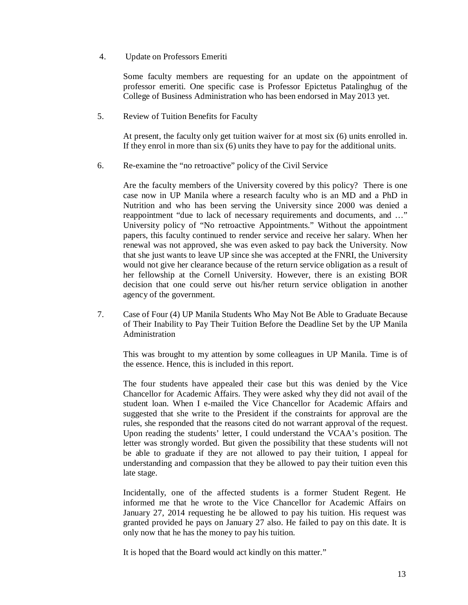4. Update on Professors Emeriti

Some faculty members are requesting for an update on the appointment of professor emeriti. One specific case is Professor Epictetus Patalinghug of the College of Business Administration who has been endorsed in May 2013 yet.

5. Review of Tuition Benefits for Faculty

At present, the faculty only get tuition waiver for at most six (6) units enrolled in. If they enrol in more than six (6) units they have to pay for the additional units.

6. Re-examine the "no retroactive" policy of the Civil Service

Are the faculty members of the University covered by this policy? There is one case now in UP Manila where a research faculty who is an MD and a PhD in Nutrition and who has been serving the University since 2000 was denied a reappointment "due to lack of necessary requirements and documents, and …" University policy of "No retroactive Appointments." Without the appointment papers, this faculty continued to render service and receive her salary. When her renewal was not approved, she was even asked to pay back the University. Now that she just wants to leave UP since she was accepted at the FNRI, the University would not give her clearance because of the return service obligation as a result of her fellowship at the Cornell University. However, there is an existing BOR decision that one could serve out his/her return service obligation in another agency of the government.

7. Case of Four (4) UP Manila Students Who May Not Be Able to Graduate Because of Their Inability to Pay Their Tuition Before the Deadline Set by the UP Manila Administration

This was brought to my attention by some colleagues in UP Manila. Time is of the essence. Hence, this is included in this report.

The four students have appealed their case but this was denied by the Vice Chancellor for Academic Affairs. They were asked why they did not avail of the student loan. When I e-mailed the Vice Chancellor for Academic Affairs and suggested that she write to the President if the constraints for approval are the rules, she responded that the reasons cited do not warrant approval of the request. Upon reading the students' letter, I could understand the VCAA's position. The letter was strongly worded. But given the possibility that these students will not be able to graduate if they are not allowed to pay their tuition, I appeal for understanding and compassion that they be allowed to pay their tuition even this late stage.

Incidentally, one of the affected students is a former Student Regent. He informed me that he wrote to the Vice Chancellor for Academic Affairs on January 27, 2014 requesting he be allowed to pay his tuition. His request was granted provided he pays on January 27 also. He failed to pay on this date. It is only now that he has the money to pay his tuition.

It is hoped that the Board would act kindly on this matter."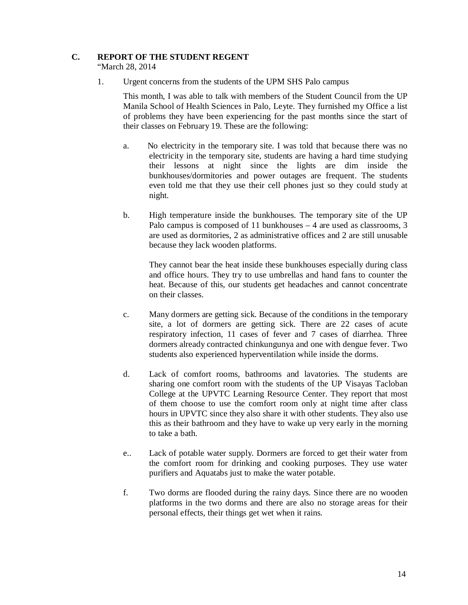#### **C. REPORT OF THE STUDENT REGENT**

"March 28, 2014

1. Urgent concerns from the students of the UPM SHS Palo campus

This month, I was able to talk with members of the Student Council from the UP Manila School of Health Sciences in Palo, Leyte. They furnished my Office a list of problems they have been experiencing for the past months since the start of their classes on February 19. These are the following:

- a. No electricity in the temporary site. I was told that because there was no electricity in the temporary site, students are having a hard time studying their lessons at night since the lights are dim inside the bunkhouses/dormitories and power outages are frequent. The students even told me that they use their cell phones just so they could study at night.
- b. High temperature inside the bunkhouses. The temporary site of the UP Palo campus is composed of 11 bunkhouses – 4 are used as classrooms, 3 are used as dormitories, 2 as administrative offices and 2 are still unusable because they lack wooden platforms.

They cannot bear the heat inside these bunkhouses especially during class and office hours. They try to use umbrellas and hand fans to counter the heat. Because of this, our students get headaches and cannot concentrate on their classes.

- c. Many dormers are getting sick. Because of the conditions in the temporary site, a lot of dormers are getting sick. There are 22 cases of acute respiratory infection, 11 cases of fever and 7 cases of diarrhea. Three dormers already contracted chinkungunya and one with dengue fever. Two students also experienced hyperventilation while inside the dorms.
- d. Lack of comfort rooms, bathrooms and lavatories. The students are sharing one comfort room with the students of the UP Visayas Tacloban College at the UPVTC Learning Resource Center. They report that most of them choose to use the comfort room only at night time after class hours in UPVTC since they also share it with other students. They also use this as their bathroom and they have to wake up very early in the morning to take a bath.
- e.. Lack of potable water supply. Dormers are forced to get their water from the comfort room for drinking and cooking purposes. They use water purifiers and Aquatabs just to make the water potable.
- f. Two dorms are flooded during the rainy days. Since there are no wooden platforms in the two dorms and there are also no storage areas for their personal effects, their things get wet when it rains.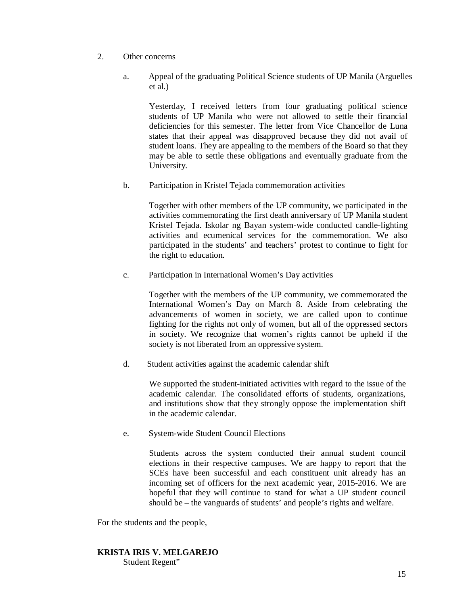- 2. Other concerns
	- a. Appeal of the graduating Political Science students of UP Manila (Arguelles et al.)

Yesterday, I received letters from four graduating political science students of UP Manila who were not allowed to settle their financial deficiencies for this semester. The letter from Vice Chancellor de Luna states that their appeal was disapproved because they did not avail of student loans. They are appealing to the members of the Board so that they may be able to settle these obligations and eventually graduate from the University.

b. Participation in Kristel Tejada commemoration activities

Together with other members of the UP community, we participated in the activities commemorating the first death anniversary of UP Manila student Kristel Tejada. Iskolar ng Bayan system-wide conducted candle-lighting activities and ecumenical services for the commemoration. We also participated in the students' and teachers' protest to continue to fight for the right to education.

c. Participation in International Women's Day activities

Together with the members of the UP community, we commemorated the International Women's Day on March 8. Aside from celebrating the advancements of women in society, we are called upon to continue fighting for the rights not only of women, but all of the oppressed sectors in society. We recognize that women's rights cannot be upheld if the society is not liberated from an oppressive system.

d. Student activities against the academic calendar shift

We supported the student-initiated activities with regard to the issue of the academic calendar. The consolidated efforts of students, organizations, and institutions show that they strongly oppose the implementation shift in the academic calendar.

e. System-wide Student Council Elections

Students across the system conducted their annual student council elections in their respective campuses. We are happy to report that the SCEs have been successful and each constituent unit already has an incoming set of officers for the next academic year, 2015-2016. We are hopeful that they will continue to stand for what a UP student council should be – the vanguards of students' and people's rights and welfare.

For the students and the people,

### **KRISTA IRIS V. MELGAREJO**

Student Regent"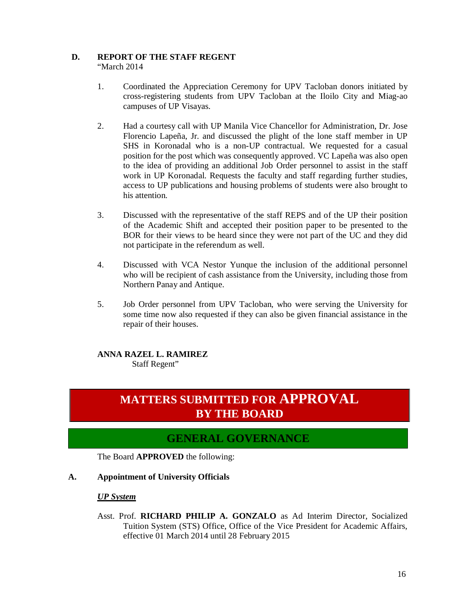### **D. REPORT OF THE STAFF REGENT**

"March 2014

- 1. Coordinated the Appreciation Ceremony for UPV Tacloban donors initiated by cross-registering students from UPV Tacloban at the Iloilo City and Miag-ao campuses of UP Visayas.
- 2. Had a courtesy call with UP Manila Vice Chancellor for Administration, Dr. Jose Florencio Lapeña, Jr. and discussed the plight of the lone staff member in UP SHS in Koronadal who is a non-UP contractual. We requested for a casual position for the post which was consequently approved. VC Lapeña was also open to the idea of providing an additional Job Order personnel to assist in the staff work in UP Koronadal. Requests the faculty and staff regarding further studies, access to UP publications and housing problems of students were also brought to his attention.
- 3. Discussed with the representative of the staff REPS and of the UP their position of the Academic Shift and accepted their position paper to be presented to the BOR for their views to be heard since they were not part of the UC and they did not participate in the referendum as well.
- 4. Discussed with VCA Nestor Yunque the inclusion of the additional personnel who will be recipient of cash assistance from the University, including those from Northern Panay and Antique.
- 5. Job Order personnel from UPV Tacloban, who were serving the University for some time now also requested if they can also be given financial assistance in the repair of their houses.

#### **ANNA RAZEL L. RAMIREZ**

Staff Regent"

### **MATTERS SUBMITTED FOR APPROVAL BY THE BOARD**

### **GENERAL GOVERNANCE**

The Board **APPROVED** the following:

#### **A. Appointment of University Officials**

#### *UP System*

Asst. Prof. **RICHARD PHILIP A. GONZALO** as Ad Interim Director, Socialized Tuition System (STS) Office, Office of the Vice President for Academic Affairs, effective 01 March 2014 until 28 February 2015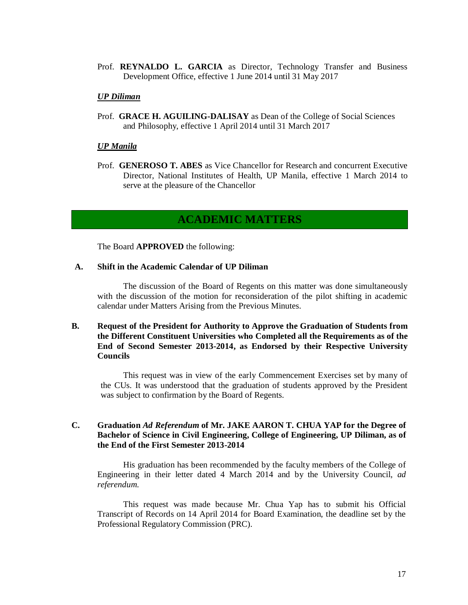Prof. **REYNALDO L. GARCIA** as Director, Technology Transfer and Business Development Office, effective 1 June 2014 until 31 May 2017

#### *UP Diliman*

Prof. **GRACE H. AGUILING-DALISAY** as Dean of the College of Social Sciences and Philosophy, effective 1 April 2014 until 31 March 2017

#### *UP Manila*

Prof. **GENEROSO T. ABES** as Vice Chancellor for Research and concurrent Executive Director, National Institutes of Health, UP Manila, effective 1 March 2014 to serve at the pleasure of the Chancellor

### **ACADEMIC MATTERS**

The Board **APPROVED** the following:

#### **A. Shift in the Academic Calendar of UP Diliman**

The discussion of the Board of Regents on this matter was done simultaneously with the discussion of the motion for reconsideration of the pilot shifting in academic calendar under Matters Arising from the Previous Minutes.

#### **B. Request of the President for Authority to Approve the Graduation of Students from the Different Constituent Universities who Completed all the Requirements as of the End of Second Semester 2013-2014, as Endorsed by their Respective University Councils**

This request was in view of the early Commencement Exercises set by many of the CUs. It was understood that the graduation of students approved by the President was subject to confirmation by the Board of Regents.

#### **C. Graduation** *Ad Referendum* **of Mr. JAKE AARON T. CHUA YAP for the Degree of Bachelor of Science in Civil Engineering, College of Engineering, UP Diliman, as of the End of the First Semester 2013-2014**

His graduation has been recommended by the faculty members of the College of Engineering in their letter dated 4 March 2014 and by the University Council, *ad referendum.*

This request was made because Mr. Chua Yap has to submit his Official Transcript of Records on 14 April 2014 for Board Examination, the deadline set by the Professional Regulatory Commission (PRC).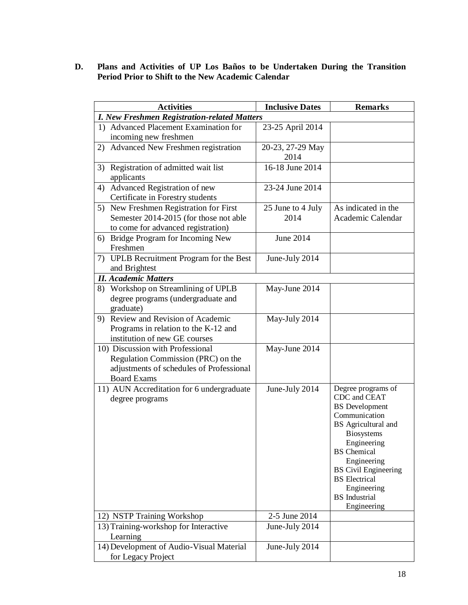#### **D. Plans and Activities of UP Los Baños to be Undertaken During the Transition Period Prior to Shift to the New Academic Calendar**

| <b>Activities</b>                                                                                                                        | <b>Inclusive Dates</b>    | <b>Remarks</b>                                                                                                                                                                                                                                                                            |
|------------------------------------------------------------------------------------------------------------------------------------------|---------------------------|-------------------------------------------------------------------------------------------------------------------------------------------------------------------------------------------------------------------------------------------------------------------------------------------|
| <b>I. New Freshmen Registration-related Matters</b>                                                                                      |                           |                                                                                                                                                                                                                                                                                           |
| 1) Advanced Placement Examination for<br>incoming new freshmen                                                                           | 23-25 April 2014          |                                                                                                                                                                                                                                                                                           |
| Advanced New Freshmen registration<br>2)                                                                                                 | 20-23, 27-29 May<br>2014  |                                                                                                                                                                                                                                                                                           |
| 3) Registration of admitted wait list<br>applicants                                                                                      | 16-18 June 2014           |                                                                                                                                                                                                                                                                                           |
| Advanced Registration of new<br>4)<br>Certificate in Forestry students                                                                   | 23-24 June 2014           |                                                                                                                                                                                                                                                                                           |
| New Freshmen Registration for First<br>5)<br>Semester 2014-2015 (for those not able<br>to come for advanced registration)                | 25 June to 4 July<br>2014 | As indicated in the<br>Academic Calendar                                                                                                                                                                                                                                                  |
| Bridge Program for Incoming New<br>6)<br>Freshmen                                                                                        | June 2014                 |                                                                                                                                                                                                                                                                                           |
| UPLB Recruitment Program for the Best<br>7)<br>and Brightest                                                                             | June-July 2014            |                                                                                                                                                                                                                                                                                           |
| <b>II.</b> Academic Matters                                                                                                              |                           |                                                                                                                                                                                                                                                                                           |
| 8) Workshop on Streamlining of UPLB<br>degree programs (undergraduate and<br>graduate)                                                   | May-June 2014             |                                                                                                                                                                                                                                                                                           |
| 9) Review and Revision of Academic<br>Programs in relation to the K-12 and<br>institution of new GE courses                              | May-July 2014             |                                                                                                                                                                                                                                                                                           |
| 10) Discussion with Professional<br>Regulation Commission (PRC) on the<br>adjustments of schedules of Professional<br><b>Board Exams</b> | May-June 2014             |                                                                                                                                                                                                                                                                                           |
| 11) AUN Accreditation for 6 undergraduate<br>degree programs                                                                             | June-July 2014            | Degree programs of<br>CDC and CEAT<br><b>BS</b> Development<br>Communication<br>BS Agricultural and<br><b>Biosystems</b><br>Engineering<br><b>BS</b> Chemical<br>Engineering<br><b>BS</b> Civil Engineering<br><b>BS</b> Electrical<br>Engineering<br><b>BS</b> Industrial<br>Engineering |
| 12) NSTP Training Workshop                                                                                                               | 2-5 June 2014             |                                                                                                                                                                                                                                                                                           |
| 13) Training-workshop for Interactive<br>Learning                                                                                        | June-July 2014            |                                                                                                                                                                                                                                                                                           |
| 14) Development of Audio-Visual Material<br>for Legacy Project                                                                           | June-July 2014            |                                                                                                                                                                                                                                                                                           |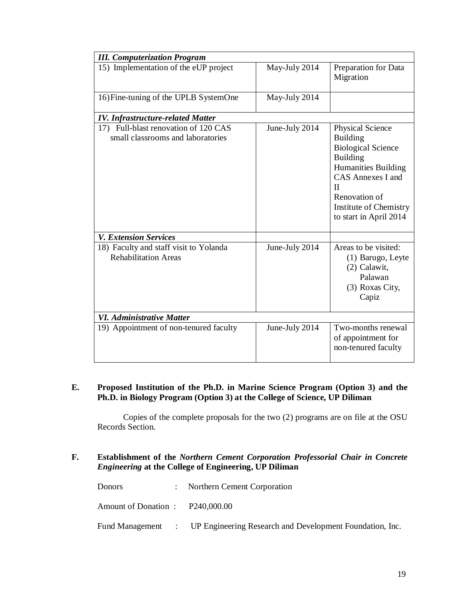| <b>III.</b> Computerization Program                                       |                |                                                                                                                                                                                                                      |
|---------------------------------------------------------------------------|----------------|----------------------------------------------------------------------------------------------------------------------------------------------------------------------------------------------------------------------|
| 15) Implementation of the eUP project                                     | May-July 2014  | Preparation for Data<br>Migration                                                                                                                                                                                    |
| 16) Fine-tuning of the UPLB SystemOne                                     | May-July 2014  |                                                                                                                                                                                                                      |
| <b>IV. Infrastructure-related Matter</b>                                  |                |                                                                                                                                                                                                                      |
| 17) Full-blast renovation of 120 CAS<br>small classrooms and laboratories | June-July 2014 | Physical Science<br><b>Building</b><br><b>Biological Science</b><br><b>Building</b><br>Humanities Building<br><b>CAS Annexes I and</b><br>$\Pi$<br>Renovation of<br>Institute of Chemistry<br>to start in April 2014 |
| <b>V. Extension Services</b>                                              |                |                                                                                                                                                                                                                      |
| 18) Faculty and staff visit to Yolanda<br><b>Rehabilitation Areas</b>     | June-July 2014 | Areas to be visited:<br>(1) Barugo, Leyte<br>(2) Calawit,<br>Palawan<br>(3) Roxas City,<br>Capiz                                                                                                                     |
| <b>VI.</b> Administrative Matter                                          |                |                                                                                                                                                                                                                      |
| 19) Appointment of non-tenured faculty                                    | June-July 2014 | Two-months renewal<br>of appointment for<br>non-tenured faculty                                                                                                                                                      |

### **E. Proposed Institution of the Ph.D. in Marine Science Program (Option 3) and the Ph.D. in Biology Program (Option 3) at the College of Science, UP Diliman**

Copies of the complete proposals for the two (2) programs are on file at the OSU Records Section.

#### **F. Establishment of the** *Northern Cement Corporation Professorial Chair in Concrete Engineering* **at the College of Engineering, UP Diliman**

Donors : Northern Cement Corporation Amount of Donation : P240,000.00 Fund Management : UP Engineering Research and Development Foundation, Inc.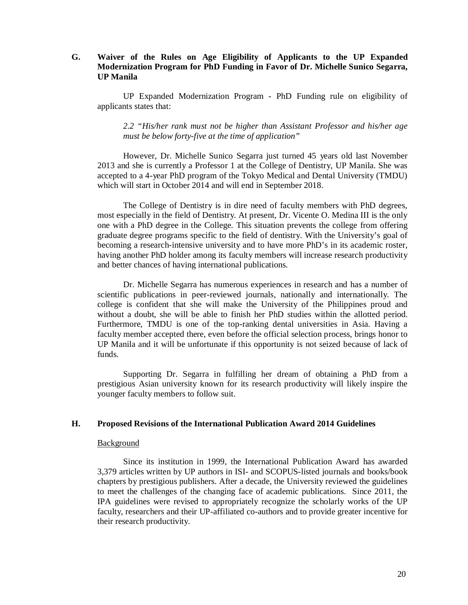#### **G. Waiver of the Rules on Age Eligibility of Applicants to the UP Expanded Modernization Program for PhD Funding in Favor of Dr. Michelle Sunico Segarra, UP Manila**

UP Expanded Modernization Program - PhD Funding rule on eligibility of applicants states that:

*2.2 "His/her rank must not be higher than Assistant Professor and his/her age must be below forty-five at the time of application"*

However, Dr. Michelle Sunico Segarra just turned 45 years old last November 2013 and she is currently a Professor 1 at the College of Dentistry, UP Manila. She was accepted to a 4-year PhD program of the Tokyo Medical and Dental University (TMDU) which will start in October 2014 and will end in September 2018.

The College of Dentistry is in dire need of faculty members with PhD degrees, most especially in the field of Dentistry. At present, Dr. Vicente O. Medina III is the only one with a PhD degree in the College. This situation prevents the college from offering graduate degree programs specific to the field of dentistry. With the University's goal of becoming a research-intensive university and to have more PhD's in its academic roster, having another PhD holder among its faculty members will increase research productivity and better chances of having international publications.

Dr. Michelle Segarra has numerous experiences in research and has a number of scientific publications in peer-reviewed journals, nationally and internationally. The college is confident that she will make the University of the Philippines proud and without a doubt, she will be able to finish her PhD studies within the allotted period. Furthermore, TMDU is one of the top-ranking dental universities in Asia. Having a faculty member accepted there, even before the official selection process, brings honor to UP Manila and it will be unfortunate if this opportunity is not seized because of lack of funds.

Supporting Dr. Segarra in fulfilling her dream of obtaining a PhD from a prestigious Asian university known for its research productivity will likely inspire the younger faculty members to follow suit.

#### **H. Proposed Revisions of the International Publication Award 2014 Guidelines**

#### Background

Since its institution in 1999, the International Publication Award has awarded 3,379 articles written by UP authors in ISI- and SCOPUS-listed journals and books/book chapters by prestigious publishers. After a decade, the University reviewed the guidelines to meet the challenges of the changing face of academic publications. Since 2011, the IPA guidelines were revised to appropriately recognize the scholarly works of the UP faculty, researchers and their UP-affiliated co-authors and to provide greater incentive for their research productivity.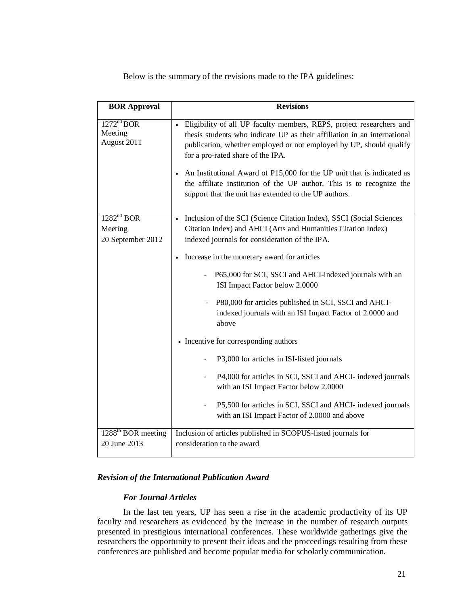Below is the summary of the revisions made to the IPA guidelines:

| <b>BOR Approval</b>                                    | <b>Revisions</b>                                                                                                                                                                                                                                                                                                                                                                                                                                                        |
|--------------------------------------------------------|-------------------------------------------------------------------------------------------------------------------------------------------------------------------------------------------------------------------------------------------------------------------------------------------------------------------------------------------------------------------------------------------------------------------------------------------------------------------------|
| 1272 <sup>nd</sup> BOR<br>Meeting<br>August 2011       | Eligibility of all UP faculty members, REPS, project researchers and<br>thesis students who indicate UP as their affiliation in an international<br>publication, whether employed or not employed by UP, should qualify<br>for a pro-rated share of the IPA.<br>An Institutional Award of P15,000 for the UP unit that is indicated as<br>the affiliate institution of the UP author. This is to recognize the<br>support that the unit has extended to the UP authors. |
| 1282 <sup>nd</sup> BOR<br>Meeting<br>20 September 2012 | Inclusion of the SCI (Science Citation Index), SSCI (Social Sciences<br>$\bullet$<br>Citation Index) and AHCI (Arts and Humanities Citation Index)<br>indexed journals for consideration of the IPA.<br>Increase in the monetary award for articles<br>P65,000 for SCI, SSCI and AHCI-indexed journals with an<br>ISI Impact Factor below 2.0000<br>P80,000 for articles published in SCI, SSCI and AHCI-                                                               |
|                                                        | indexed journals with an ISI Impact Factor of 2.0000 and<br>above<br>• Incentive for corresponding authors<br>P3,000 for articles in ISI-listed journals<br>P4,000 for articles in SCI, SSCI and AHCI- indexed journals<br>with an ISI Impact Factor below 2.0000<br>P5,500 for articles in SCI, SSCI and AHCI- indexed journals<br>with an ISI Impact Factor of 2.0000 and above                                                                                       |
| $1288^{\text{th}}$ BOR meeting<br>20 June 2013         | Inclusion of articles published in SCOPUS-listed journals for<br>consideration to the award                                                                                                                                                                                                                                                                                                                                                                             |

#### *Revision of the International Publication Award*

#### *For Journal Articles*

In the last ten years, UP has seen a rise in the academic productivity of its UP faculty and researchers as evidenced by the increase in the number of research outputs presented in prestigious international conferences. These worldwide gatherings give the researchers the opportunity to present their ideas and the proceedings resulting from these conferences are published and become popular media for scholarly communication.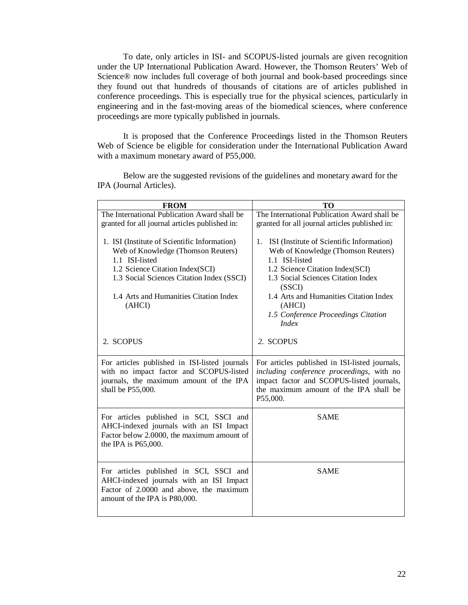To date, only articles in ISI- and SCOPUS-listed journals are given recognition under the UP International Publication Award. However, the Thomson Reuters' Web of Science® now includes full coverage of both journal and book-based proceedings since they found out that hundreds of thousands of citations are of articles published in conference proceedings. This is especially true for the physical sciences, particularly in engineering and in the fast-moving areas of the biomedical sciences, where conference proceedings are more typically published in journals.

It is proposed that the Conference Proceedings listed in the Thomson Reuters Web of Science be eligible for consideration under the International Publication Award with a maximum monetary award of P55,000.

Below are the suggested revisions of the guidelines and monetary award for the IPA (Journal Articles).

| <b>FROM</b>                                                                                                                                                                                                                              | TO                                                                                                                                                                                                                                                                                                    |
|------------------------------------------------------------------------------------------------------------------------------------------------------------------------------------------------------------------------------------------|-------------------------------------------------------------------------------------------------------------------------------------------------------------------------------------------------------------------------------------------------------------------------------------------------------|
| The International Publication Award shall be                                                                                                                                                                                             | The International Publication Award shall be                                                                                                                                                                                                                                                          |
| granted for all journal articles published in:                                                                                                                                                                                           | granted for all journal articles published in:                                                                                                                                                                                                                                                        |
| 1. ISI (Institute of Scientific Information)<br>Web of Knowledge (Thomson Reuters)<br>1.1 ISI-listed<br>1.2 Science Citation Index(SCI)<br>1.3 Social Sciences Citation Index (SSCI)<br>1.4 Arts and Humanities Citation Index<br>(AHCI) | ISI (Institute of Scientific Information)<br>1.<br>Web of Knowledge (Thomson Reuters)<br>1.1 ISI-listed<br>1.2 Science Citation Index(SCI)<br>1.3 Social Sciences Citation Index<br>(SSCI)<br>1.4 Arts and Humanities Citation Index<br>(AHCI)<br>1.5 Conference Proceedings Citation<br><i>Index</i> |
| 2. SCOPUS                                                                                                                                                                                                                                | 2. SCOPUS                                                                                                                                                                                                                                                                                             |
| For articles published in ISI-listed journals<br>with no impact factor and SCOPUS-listed<br>journals, the maximum amount of the IPA<br>shall be P55,000.                                                                                 | For articles published in ISI-listed journals,<br>including conference proceedings, with no<br>impact factor and SCOPUS-listed journals,<br>the maximum amount of the IPA shall be<br>P55,000.                                                                                                        |
| For articles published in SCI, SSCI and<br>AHCI-indexed journals with an ISI Impact<br>Factor below 2.0000, the maximum amount of<br>the IPA is P65,000.                                                                                 | <b>SAME</b>                                                                                                                                                                                                                                                                                           |
| For articles published in SCI, SSCI and<br>AHCI-indexed journals with an ISI Impact<br>Factor of 2.0000 and above, the maximum<br>amount of the IPA is P80,000.                                                                          | <b>SAME</b>                                                                                                                                                                                                                                                                                           |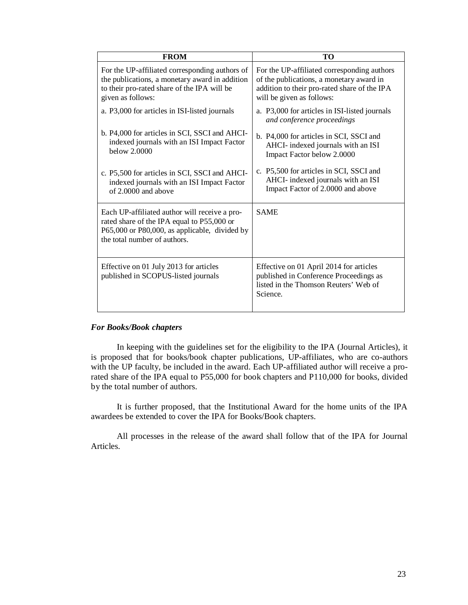| <b>FROM</b>                                                                                                                                                                  | TО                                                                                                                                                                   |
|------------------------------------------------------------------------------------------------------------------------------------------------------------------------------|----------------------------------------------------------------------------------------------------------------------------------------------------------------------|
| For the UP-affiliated corresponding authors of<br>the publications, a monetary award in addition<br>to their pro-rated share of the IPA will be<br>given as follows:         | For the UP-affiliated corresponding authors<br>of the publications, a monetary award in<br>addition to their pro-rated share of the IPA<br>will be given as follows: |
| a. P3,000 for articles in ISI-listed journals                                                                                                                                | a. P3,000 for articles in ISI-listed journals<br>and conference proceedings                                                                                          |
| b. P4,000 for articles in SCI, SSCI and AHCI-<br>indexed journals with an ISI Impact Factor<br>below 2,0000                                                                  | b. P4,000 for articles in SCI, SSCI and<br>AHCI- indexed journals with an ISI<br>Impact Factor below 2.0000                                                          |
| c. P5,500 for articles in SCI, SSCI and AHCI-<br>indexed journals with an ISI Impact Factor<br>of 2,0000 and above                                                           | c. P5,500 for articles in SCI, SSCI and<br>AHCI- indexed journals with an ISI<br>Impact Factor of 2.0000 and above                                                   |
| Each UP-affiliated author will receive a pro-<br>rated share of the IPA equal to P55,000 or<br>P65,000 or P80,000, as applicable, divided by<br>the total number of authors. | <b>SAME</b>                                                                                                                                                          |
| Effective on 01 July 2013 for articles<br>published in SCOPUS-listed journals                                                                                                | Effective on 01 April 2014 for articles<br>published in Conference Proceedings as<br>listed in the Thomson Reuters' Web of<br>Science.                               |

#### *For Books/Book chapters*

In keeping with the guidelines set for the eligibility to the IPA (Journal Articles), it is proposed that for books/book chapter publications, UP-affiliates, who are co-authors with the UP faculty, be included in the award. Each UP-affiliated author will receive a prorated share of the IPA equal to P55,000 for book chapters and P110,000 for books, divided by the total number of authors.

It is further proposed, that the Institutional Award for the home units of the IPA awardees be extended to cover the IPA for Books/Book chapters.

All processes in the release of the award shall follow that of the IPA for Journal Articles.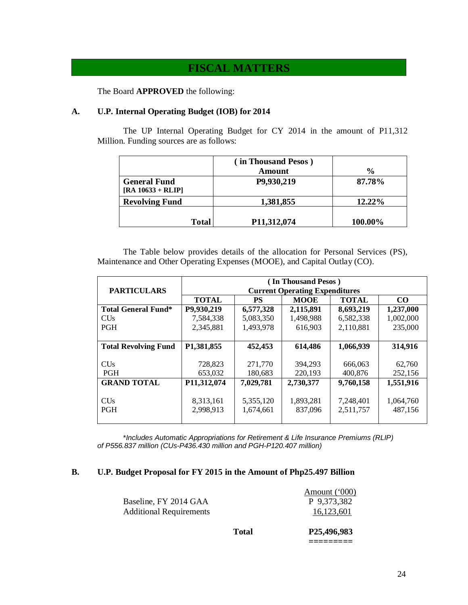### **FISCAL MATTERS**

The Board **APPROVED** the following:

#### **A. U.P. Internal Operating Budget (IOB) for 2014**

The UP Internal Operating Budget for CY 2014 in the amount of P11,312 Million. Funding sources are as follows:

|                                            | in Thousand Pesos)<br>Amount | $\frac{0}{0}$ |
|--------------------------------------------|------------------------------|---------------|
| <b>General Fund</b><br>$[RA 10633 + RLIP]$ | P9,930,219                   | 87.78%        |
| <b>Revolving Fund</b>                      | 1,381,855                    | 12.22%        |
| <b>Total</b>                               | P11,312,074                  | 100.00%       |

The Table below provides details of the allocation for Personal Services (PS), Maintenance and Other Operating Expenses (MOOE), and Capital Outlay (CO).

|                             | (In Thousand Pesos)                      |           |              |                 |           |  |  |
|-----------------------------|------------------------------------------|-----------|--------------|-----------------|-----------|--|--|
| <b>PARTICULARS</b>          | <b>Current Operating Expenditures</b>    |           |              |                 |           |  |  |
|                             | <b>TOTAL</b><br><b>MOOE</b><br><b>PS</b> |           | <b>TOTAL</b> | CO <sub>1</sub> |           |  |  |
| <b>Total General Fund*</b>  | P9,930,219                               | 6,577,328 | 2,115,891    | 8,693,219       | 1,237,000 |  |  |
| <b>CUs</b>                  | 7,584,338                                | 5,083,350 | 1,498,988    | 6,582,338       | 1,002,000 |  |  |
| <b>PGH</b>                  | 2,345,881                                | 1,493,978 | 616,903      | 2,110,881       | 235,000   |  |  |
|                             |                                          |           |              |                 |           |  |  |
| <b>Total Revolving Fund</b> | P1,381,855                               | 452,453   | 614,486      | 1,066,939       | 314,916   |  |  |
|                             |                                          |           |              |                 |           |  |  |
| <b>CUs</b>                  | 728,823                                  | 271,770   | 394.293      | 666,063         | 62,760    |  |  |
| <b>PGH</b>                  | 653,032                                  | 180,683   | 220,193      | 400,876         | 252,156   |  |  |
| <b>GRAND TOTAL</b>          | P11,312,074                              | 7,029,781 | 2,730,377    | 9,760,158       | 1,551,916 |  |  |
|                             |                                          |           |              |                 |           |  |  |
| <b>CU<sub>s</sub></b>       | 8,313,161                                | 5,355,120 | 1,893,281    | 7,248,401       | 1,064,760 |  |  |
| <b>PGH</b>                  | 2,998,913                                | 1,674,661 | 837,096      | 2,511,757       | 487,156   |  |  |
|                             |                                          |           |              |                 |           |  |  |

\**Includes Automatic Appropriations for Retirement & Life Insurance Premiums (RLIP) of P556.837 million (CUs-P436.430 million and PGH-P120.407 million)*

#### **B. U.P. Budget Proposal for FY 2015 in the Amount of Php25.497 Billion**

| Total                          | P25,496,983                  |
|--------------------------------|------------------------------|
| <b>Additional Requirements</b> | 16,123,601                   |
| Baseline, FY 2014 GAA          | Amount ('000)<br>P 9,373,382 |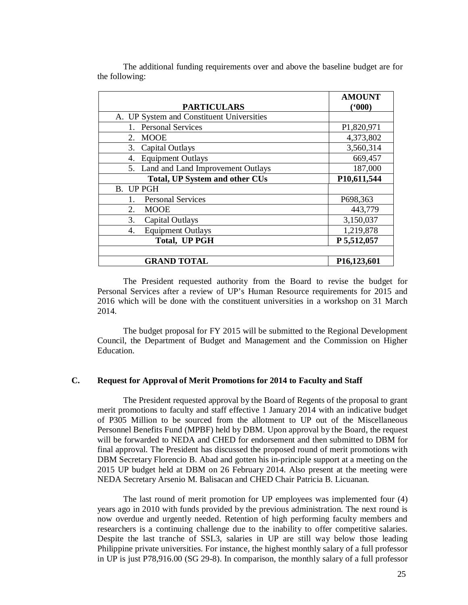| The additional funding requirements over and above the baseline budget are for |  |  |  |  |  |
|--------------------------------------------------------------------------------|--|--|--|--|--|
| the following:                                                                 |  |  |  |  |  |

|                                           | <b>AMOUNT</b> |
|-------------------------------------------|---------------|
| <b>PARTICULARS</b>                        | (900)         |
| A. UP System and Constituent Universities |               |
| <b>Personal Services</b>                  | P1,820,971    |
| MOOE<br>2.                                | 4,373,802     |
| Capital Outlays<br>3.                     | 3,560,314     |
| <b>Equipment Outlays</b><br>4.            | 669,457       |
| 5. Land and Land Improvement Outlays      | 187,000       |
| Total, UP System and other CUs            | P10,611,544   |
| B. UP PGH                                 |               |
| <b>Personal Services</b><br>1.            | P698,363      |
| 2.<br><b>MOOE</b>                         | 443,779       |
| 3.<br><b>Capital Outlays</b>              | 3,150,037     |
| <b>Equipment Outlays</b><br>4.            | 1,219,878     |
| <b>Total, UP PGH</b>                      | P 5,512,057   |
|                                           |               |
| <b>GRAND TOTAL</b>                        | P16,123,601   |

The President requested authority from the Board to revise the budget for Personal Services after a review of UP's Human Resource requirements for 2015 and 2016 which will be done with the constituent universities in a workshop on 31 March 2014.

The budget proposal for FY 2015 will be submitted to the Regional Development Council, the Department of Budget and Management and the Commission on Higher Education.

#### **C. Request for Approval of Merit Promotions for 2014 to Faculty and Staff**

The President requested approval by the Board of Regents of the proposal to grant merit promotions to faculty and staff effective 1 January 2014 with an indicative budget of P305 Million to be sourced from the allotment to UP out of the Miscellaneous Personnel Benefits Fund (MPBF) held by DBM. Upon approval by the Board, the request will be forwarded to NEDA and CHED for endorsement and then submitted to DBM for final approval. The President has discussed the proposed round of merit promotions with DBM Secretary Florencio B. Abad and gotten his in-principle support at a meeting on the 2015 UP budget held at DBM on 26 February 2014. Also present at the meeting were NEDA Secretary Arsenio M. Balisacan and CHED Chair Patricia B. Licuanan.

The last round of merit promotion for UP employees was implemented four (4) years ago in 2010 with funds provided by the previous administration. The next round is now overdue and urgently needed. Retention of high performing faculty members and researchers is a continuing challenge due to the inability to offer competitive salaries. Despite the last tranche of SSL3, salaries in UP are still way below those leading Philippine private universities. For instance, the highest monthly salary of a full professor in UP is just P78,916.00 (SG 29-8). In comparison, the monthly salary of a full professor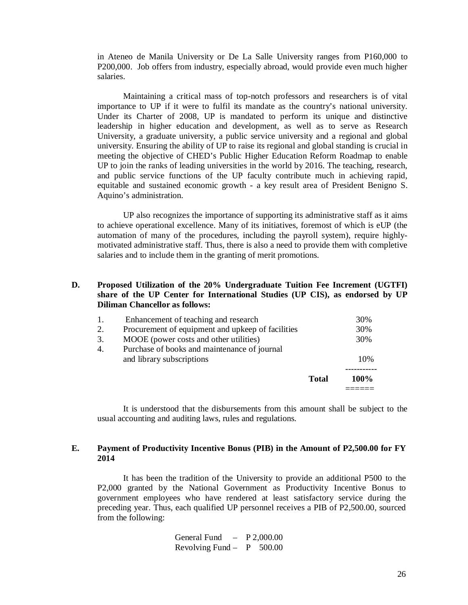in Ateneo de Manila University or De La Salle University ranges from P160,000 to P200,000. Job offers from industry, especially abroad, would provide even much higher salaries.

Maintaining a critical mass of top-notch professors and researchers is of vital importance to UP if it were to fulfil its mandate as the country's national university. Under its Charter of 2008, UP is mandated to perform its unique and distinctive leadership in higher education and development, as well as to serve as Research University, a graduate university, a public service university and a regional and global university. Ensuring the ability of UP to raise its regional and global standing is crucial in meeting the objective of CHED's Public Higher Education Reform Roadmap to enable UP to join the ranks of leading universities in the world by 2016. The teaching, research, and public service functions of the UP faculty contribute much in achieving rapid, equitable and sustained economic growth - a key result area of President Benigno S. Aquino's administration.

UP also recognizes the importance of supporting its administrative staff as it aims to achieve operational excellence. Many of its initiatives, foremost of which is eUP (the automation of many of the procedures, including the payroll system), require highlymotivated administrative staff. Thus, there is also a need to provide them with completive salaries and to include them in the granting of merit promotions.

#### **D. Proposed Utilization of the 20% Undergraduate Tuition Fee Increment (UGTFI) share of the UP Center for International Studies (UP CIS), as endorsed by UP Diliman Chancellor as follows:**

|    |                                                   | <b>Total</b> | 100% |
|----|---------------------------------------------------|--------------|------|
|    | and library subscriptions                         |              | 10%  |
| 4. | Purchase of books and maintenance of journal      |              |      |
| 3. | MOOE (power costs and other utilities)            |              | 30%  |
| 2. | Procurement of equipment and upkeep of facilities |              | 30%  |
| 1. | Enhancement of teaching and research              |              | 30%  |

It is understood that the disbursements from this amount shall be subject to the usual accounting and auditing laws, rules and regulations.

#### **E. Payment of Productivity Incentive Bonus (PIB) in the Amount of P2,500.00 for FY 2014**

It has been the tradition of the University to provide an additional P500 to the P2,000 granted by the National Government as Productivity Incentive Bonus to government employees who have rendered at least satisfactory service during the preceding year. Thus, each qualified UP personnel receives a PIB of P2,500.00, sourced from the following:

> General Fund – P 2,000.00 Revolving Fund  $-$  P 500.00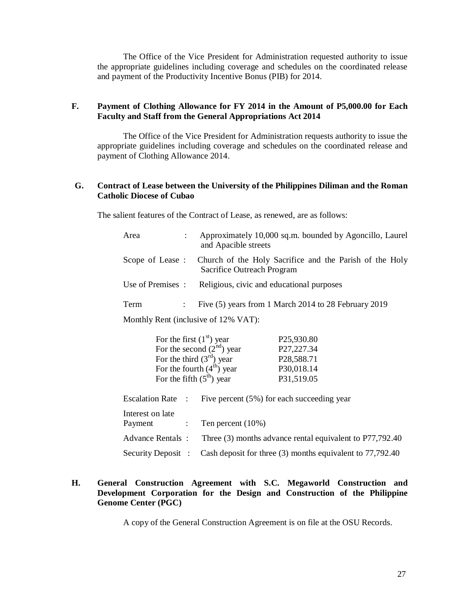The Office of the Vice President for Administration requested authority to issue the appropriate guidelines including coverage and schedules on the coordinated release and payment of the Productivity Incentive Bonus (PIB) for 2014.

#### **F. Payment of Clothing Allowance for FY 2014 in the Amount of P5,000.00 for Each Faculty and Staff from the General Appropriations Act 2014**

The Office of the Vice President for Administration requests authority to issue the appropriate guidelines including coverage and schedules on the coordinated release and payment of Clothing Allowance 2014.

#### **G. Contract of Lease between the University of the Philippines Diliman and the Roman Catholic Diocese of Cubao**

The salient features of the Contract of Lease, as renewed, are as follows:

| Area              | Approximately 10,000 sq.m. bounded by Agoncillo, Laurel<br>and Apacible streets                       |
|-------------------|-------------------------------------------------------------------------------------------------------|
|                   | Scope of Lease: Church of the Holy Sacrifice and the Parish of the Holy<br>Sacrifice Outreach Program |
| Use of Premises : | Religious, civic and educational purposes                                                             |
| Term              | Five (5) years from 1 March 2014 to 28 February 2019                                                  |

Monthly Rent (inclusive of 12% VAT):

|                                             |                            | For the first $(1st)$ year  | P <sub>25</sub> ,930.80                                   |
|---------------------------------------------|----------------------------|-----------------------------|-----------------------------------------------------------|
|                                             |                            | For the second $(2nd)$ year | P27,227.34                                                |
|                                             |                            | For the third $(3rd)$ year  | P <sub>28</sub> , 588.71                                  |
|                                             |                            | For the fourth $(4th)$ year | P30,018.14                                                |
|                                             |                            | For the fifth $(5th)$ year  | P31,519.05                                                |
| <b>Escalation Rate:</b><br>Interest on late |                            |                             | Five percent (5%) for each succeeding year                |
| Payment                                     | $\mathcal{L}^{\text{max}}$ | Ten percent $(10\%)$        |                                                           |
| <b>Advance Rentals:</b>                     |                            |                             | Three (3) months advance rental equivalent to P77,792.40  |
| Security Deposit :                          |                            |                             | Cash deposit for three (3) months equivalent to 77,792.40 |

#### **H. General Construction Agreement with S.C. Megaworld Construction and Development Corporation for the Design and Construction of the Philippine Genome Center (PGC)**

A copy of the General Construction Agreement is on file at the OSU Records.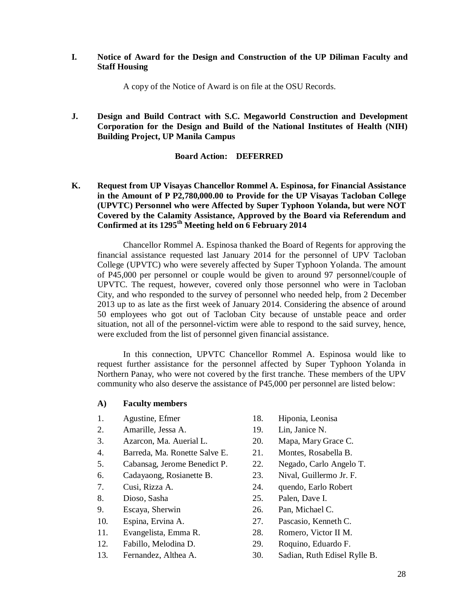#### **I. Notice of Award for the Design and Construction of the UP Diliman Faculty and Staff Housing**

A copy of the Notice of Award is on file at the OSU Records.

**J. Design and Build Contract with S.C. Megaworld Construction and Development Corporation for the Design and Build of the National Institutes of Health (NIH) Building Project, UP Manila Campus**

#### **Board Action: DEFERRED**

**K. Request from UP Visayas Chancellor Rommel A. Espinosa, for Financial Assistance in the Amount of P P2,780,000.00 to Provide for the UP Visayas Tacloban College (UPVTC) Personnel who were Affected by Super Typhoon Yolanda, but were NOT Covered by the Calamity Assistance, Approved by the Board via Referendum and Confirmed at its 1295th Meeting held on 6 February 2014**

Chancellor Rommel A. Espinosa thanked the Board of Regents for approving the financial assistance requested last January 2014 for the personnel of UPV Tacloban College (UPVTC) who were severely affected by Super Typhoon Yolanda. The amount of P45,000 per personnel or couple would be given to around 97 personnel/couple of UPVTC. The request, however, covered only those personnel who were in Tacloban City, and who responded to the survey of personnel who needed help, from 2 December 2013 up to as late as the first week of January 2014. Considering the absence of around 50 employees who got out of Tacloban City because of unstable peace and order situation, not all of the personnel-victim were able to respond to the said survey, hence, were excluded from the list of personnel given financial assistance.

In this connection, UPVTC Chancellor Rommel A. Espinosa would like to request further assistance for the personnel affected by Super Typhoon Yolanda in Northern Panay, who were not covered by the first tranche. These members of the UPV community who also deserve the assistance of P45,000 per personnel are listed below:

#### **A) Faculty members**

- 
- 2. Amarille, Jessa A. 19. Lin, Janice N.
- 3. Azarcon, Ma. Auerial L. 20. Mapa, Mary Grace C.
- 4. Barreda, Ma. Ronette Salve E. 21. Montes, Rosabella B.
- 5. Cabansag, Jerome Benedict P. 22. Negado, Carlo Angelo T.
- 6. Cadayaong, Rosianette B. 23. Nival, Guillermo Jr. F.
- 
- 
- 9. Escaya, Sherwin 26. Pan, Michael C.
- 
- 11. Evangelista, Emma R. 28. Romero, Victor II M.
- 
- 
- 1. Agustine, Efmer 18. Hiponia, Leonisa
	-
	-
	-
	-
	-
- 7. Cusi, Rizza A. 24. quendo, Earlo Robert
- 8. Dioso, Sasha 25. Palen, Dave I.
	-
- 10. Espina, Ervina A. 27. Pascasio, Kenneth C.
	-
- 12. Fabillo, Melodina D. 29. Roquino, Eduardo F.
- 13. Fernandez, Althea A. 30. Sadian, Ruth Edisel Rylle B.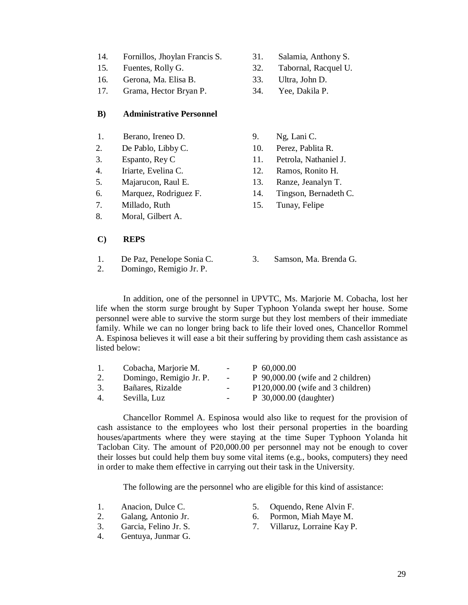- 14. Fornillos, Jhoylan Francis S. 31. Salamia, Anthony S.
- 
- 16. Gerona, Ma. Elisa B. 33. Ultra, John D.
- 17. Grama, Hector Bryan P. 34. Yee, Dakila P.

#### **B) Administrative Personnel**

- 1. Berano, Ireneo D. 9. Ng, Lani C.
- 2. De Pablo, Libby C. 10. Perez, Pablita R.
- 
- 4. Iriarte, Evelina C. 12. Ramos, Ronito H.
- 
- 
- 
- 8. Moral, Gilbert A.
- 
- 
- 15. Fuentes, Rolly G. 32. Tabornal, Racquel U.
	-
	-
	-
	-
- 3. Espanto, Rey C 11. Petrola, Nathaniel J.
	-
- 5. Majarucon, Raul E. 13. Ranze, Jeanalyn T.
- 6. Marquez, Rodriguez F. 14. Tingson, Bernadeth C.
- 7. Millado, Ruth 15. Tunay, Felipe
- **C) REPS**
- 1. De Paz, Penelope Sonia C. 3. Samson, Ma. Brenda G.
- 2. Domingo, Remigio Jr. P.
- 

In addition, one of the personnel in UPVTC, Ms. Marjorie M. Cobacha, lost her life when the storm surge brought by Super Typhoon Yolanda swept her house. Some personnel were able to survive the storm surge but they lost members of their immediate family. While we can no longer bring back to life their loved ones, Chancellor Rommel A. Espinosa believes it will ease a bit their suffering by providing them cash assistance as listed below:

| $\mathbf{L}$ | Cobacha, Marjorie M.    | $\overline{\phantom{0}}$ | $P$ 60,000.00                       |
|--------------|-------------------------|--------------------------|-------------------------------------|
| 2.           | Domingo, Remigio Jr. P. | $\sim$                   | $P$ 90,000.00 (wife and 2 children) |
| 3.           | Bañares, Rizalde        | ۰.                       | $P120,000.00$ (wife and 3 children) |
| 4.           | Sevilla, Luz            | $\overline{\phantom{0}}$ | $P_{30,000,00}$ (daughter)          |

Chancellor Rommel A. Espinosa would also like to request for the provision of cash assistance to the employees who lost their personal properties in the boarding houses/apartments where they were staying at the time Super Typhoon Yolanda hit Tacloban City. The amount of P20,000.00 per personnel may not be enough to cover their losses but could help them buy some vital items (e.g., books, computers) they need in order to make them effective in carrying out their task in the University.

The following are the personnel who are eligible for this kind of assistance:

- 
- 
- 
- 4. Gentuya, Junmar G.
- 1. Anacion, Dulce C. 5. Oquendo, Rene Alvin F.
- 2. Galang, Antonio Jr. 6. Pormon, Miah Maye M.
- 3. Garcia, Felino Jr. S. 7. Villaruz, Lorraine Kay P.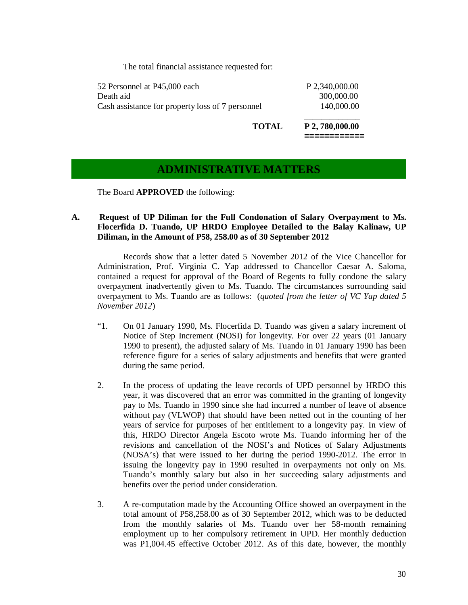The total financial assistance requested for:

| 52 Personnel at P45,000 each                     | P 2,340,000.00 |
|--------------------------------------------------|----------------|
| Death aid                                        | 300,000.00     |
| Cash assistance for property loss of 7 personnel | 140,000.00     |
|                                                  | --- --- --     |

 **TOTAL P 2, 780,000.00 ============**

### **ADMINISTRATIVE MATTERS**

The Board **APPROVED** the following:

#### **A. Request of UP Diliman for the Full Condonation of Salary Overpayment to Ms. Flocerfida D. Tuando, UP HRDO Employee Detailed to the Balay Kalinaw, UP Diliman, in the Amount of P58, 258.00 as of 30 September 2012**

Records show that a letter dated 5 November 2012 of the Vice Chancellor for Administration, Prof. Virginia C. Yap addressed to Chancellor Caesar A. Saloma, contained a request for approval of the Board of Regents to fully condone the salary overpayment inadvertently given to Ms. Tuando. The circumstances surrounding said overpayment to Ms. Tuando are as follows: (*quoted from the letter of VC Yap dated 5 November 2012*)

- "1. On 01 January 1990, Ms. Flocerfida D. Tuando was given a salary increment of Notice of Step Increment (NOSI) for longevity. For over 22 years (01 January 1990 to present), the adjusted salary of Ms. Tuando in 01 January 1990 has been reference figure for a series of salary adjustments and benefits that were granted during the same period.
- 2. In the process of updating the leave records of UPD personnel by HRDO this year, it was discovered that an error was committed in the granting of longevity pay to Ms. Tuando in 1990 since she had incurred a number of leave of absence without pay (VLWOP) that should have been netted out in the counting of her years of service for purposes of her entitlement to a longevity pay. In view of this, HRDO Director Angela Escoto wrote Ms. Tuando informing her of the revisions and cancellation of the NOSI's and Notices of Salary Adjustments (NOSA's) that were issued to her during the period 1990-2012. The error in issuing the longevity pay in 1990 resulted in overpayments not only on Ms. Tuando's monthly salary but also in her succeeding salary adjustments and benefits over the period under consideration.
- 3. A re-computation made by the Accounting Office showed an overpayment in the total amount of P58,258.00 as of 30 September 2012, which was to be deducted from the monthly salaries of Ms. Tuando over her 58-month remaining employment up to her compulsory retirement in UPD. Her monthly deduction was P1,004.45 effective October 2012. As of this date, however, the monthly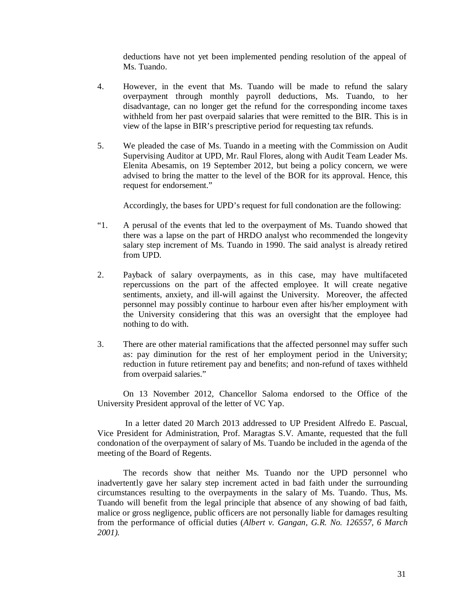deductions have not yet been implemented pending resolution of the appeal of Ms. Tuando.

- 4. However, in the event that Ms. Tuando will be made to refund the salary overpayment through monthly payroll deductions, Ms. Tuando, to her disadvantage, can no longer get the refund for the corresponding income taxes withheld from her past overpaid salaries that were remitted to the BIR. This is in view of the lapse in BIR's prescriptive period for requesting tax refunds.
- 5. We pleaded the case of Ms. Tuando in a meeting with the Commission on Audit Supervising Auditor at UPD, Mr. Raul Flores, along with Audit Team Leader Ms. Elenita Abesamis, on 19 September 2012, but being a policy concern, we were advised to bring the matter to the level of the BOR for its approval. Hence, this request for endorsement."

Accordingly, the bases for UPD's request for full condonation are the following:

- "1. A perusal of the events that led to the overpayment of Ms. Tuando showed that there was a lapse on the part of HRDO analyst who recommended the longevity salary step increment of Ms. Tuando in 1990. The said analyst is already retired from UPD.
- 2. Payback of salary overpayments, as in this case, may have multifaceted repercussions on the part of the affected employee. It will create negative sentiments, anxiety, and ill-will against the University. Moreover, the affected personnel may possibly continue to harbour even after his/her employment with the University considering that this was an oversight that the employee had nothing to do with.
- 3. There are other material ramifications that the affected personnel may suffer such as: pay diminution for the rest of her employment period in the University; reduction in future retirement pay and benefits; and non-refund of taxes withheld from overpaid salaries."

On 13 November 2012, Chancellor Saloma endorsed to the Office of the University President approval of the letter of VC Yap.

In a letter dated 20 March 2013 addressed to UP President Alfredo E. Pascual, Vice President for Administration, Prof. Maragtas S.V. Amante, requested that the full condonation of the overpayment of salary of Ms. Tuando be included in the agenda of the meeting of the Board of Regents.

The records show that neither Ms. Tuando nor the UPD personnel who inadvertently gave her salary step increment acted in bad faith under the surrounding circumstances resulting to the overpayments in the salary of Ms. Tuando. Thus, Ms. Tuando will benefit from the legal principle that absence of any showing of bad faith, malice or gross negligence, public officers are not personally liable for damages resulting from the performance of official duties (*Albert v. Gangan, G.R. No. 126557, 6 March 2001).*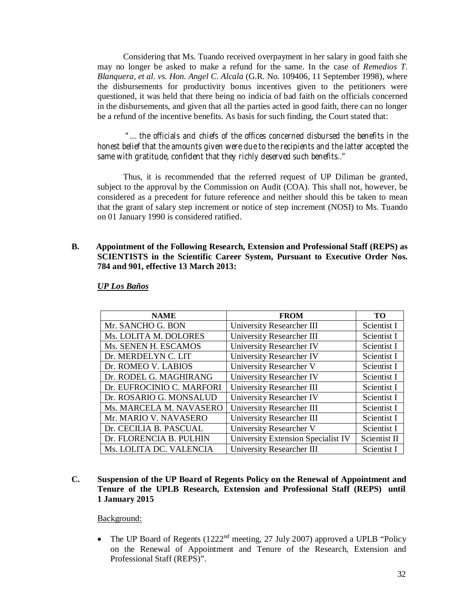Considering that Ms. Tuando received overpayment in her salary in good faith she may no longer be asked to make a refund for the same. In the case of *Remedios T. Blanquera, et al. vs. Hon. Angel C. Alcala* (G.R. No. 109406, 11 September 1998), where the disbursements for productivity bonus incentives given to the petitioners were questioned, it was held that there being no indicia of bad faith on the officials concerned in the disbursements, and given that all the parties acted in good faith, there can no longer be a refund of the incentive benefits. As basis for such finding, the Court stated that:

*"... the officials and chiefs of the offices concerned disbursed the benefits in the honest belief that the amounts given were due to the recipients and the latter accepted the same with gratitude, confident that they richly deserved such benefits.."*

Thus, it is recommended that the referred request of UP Diliman be granted, subject to the approval by the Commission on Audit (COA). This shall not, however, be considered as a precedent for future reference and neither should this be taken to mean that the grant of salary step increment or notice of step increment (NOSI) to Ms. Tuando on 01 January 1990 is considered ratified.

**B. Appointment of the Following Research, Extension and Professional Staff (REPS) as SCIENTISTS in the Scientific Career System, Pursuant to Executive Order Nos. 784 and 901, effective 13 March 2013:** 

| <b>NAME</b>               | <b>FROM</b>                        | <b>TO</b>    |
|---------------------------|------------------------------------|--------------|
| Mr. SANCHO G. BON         | University Researcher III          | Scientist I  |
| Ms. LOLITA M. DOLORES     | University Researcher III          | Scientist I  |
| Ms. SENEN H. ESCAMOS      | University Researcher IV           | Scientist I  |
| Dr. MERDELYN C. LIT       | University Researcher IV           | Scientist I  |
| Dr. ROMEO V. LABIOS       | University Researcher V            | Scientist I  |
| Dr. RODEL G. MAGHIRANG    | <b>University Researcher IV</b>    | Scientist I  |
| Dr. EUFROCINIO C. MARFORI | University Researcher III          | Scientist I  |
| Dr. ROSARIO G. MONSALUD   | University Researcher IV           | Scientist I  |
| Ms. MARCELA M. NAVASERO   | University Researcher III          | Scientist I  |
| Mr. MARIO V. NAVASERO     | University Researcher III          | Scientist I  |
| Dr. CECILIA B. PASCUAL    | University Researcher V            | Scientist I  |
| Dr. FLORENCIA B. PULHIN   | University Extension Specialist IV | Scientist II |
| Ms. LOLITA DC. VALENCIA   | University Researcher III          | Scientist I  |

*UP Los Baños*

**C. Suspension of the UP Board of Regents Policy on the Renewal of Appointment and Tenure of the UPLB Research, Extension and Professional Staff (REPS) until 1 January 2015**

Background:

• The UP Board of Regents (1222<sup>nd</sup> meeting, 27 July 2007) approved a UPLB "Policy on the Renewal of Appointment and Tenure of the Research, Extension and Professional Staff (REPS)".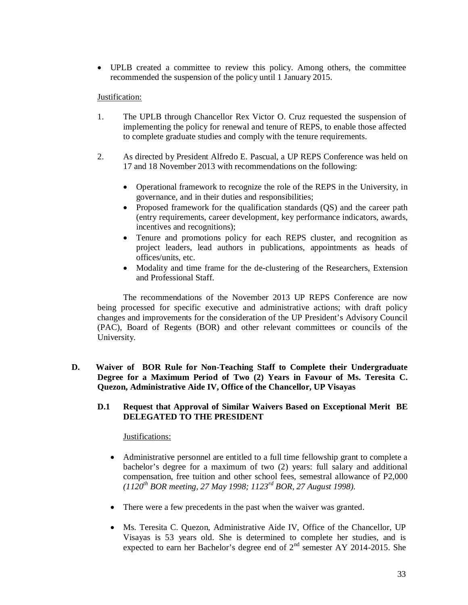UPLB created a committee to review this policy. Among others, the committee recommended the suspension of the policy until 1 January 2015.

#### Justification:

- 1. The UPLB through Chancellor Rex Victor O. Cruz requested the suspension of implementing the policy for renewal and tenure of REPS, to enable those affected to complete graduate studies and comply with the tenure requirements.
- 2. As directed by President Alfredo E. Pascual, a UP REPS Conference was held on 17 and 18 November 2013 with recommendations on the following:
	- Operational framework to recognize the role of the REPS in the University, in governance, and in their duties and responsibilities;
	- Proposed framework for the qualification standards (QS) and the career path (entry requirements, career development, key performance indicators, awards, incentives and recognitions);
	- Tenure and promotions policy for each REPS cluster, and recognition as project leaders, lead authors in publications, appointments as heads of offices/units, etc.
	- Modality and time frame for the de-clustering of the Researchers, Extension and Professional Staff.

The recommendations of the November 2013 UP REPS Conference are now being processed for specific executive and administrative actions; with draft policy changes and improvements for the consideration of the UP President's Advisory Council (PAC), Board of Regents (BOR) and other relevant committees or councils of the University.

**D. Waiver of BOR Rule for Non-Teaching Staff to Complete their Undergraduate Degree for a Maximum Period of Two (2) Years in Favour of Ms. Teresita C. Quezon, Administrative Aide IV, Office of the Chancellor, UP Visayas**

#### **D.1 Request that Approval of Similar Waivers Based on Exceptional Merit BE DELEGATED TO THE PRESIDENT**

Justifications:

- Administrative personnel are entitled to a full time fellowship grant to complete a bachelor's degree for a maximum of two (2) years: full salary and additional compensation, free tuition and other school fees, semestral allowance of P2,000 *(1120th BOR meeting, 27 May 1998; 1123rd BOR, 27 August 1998).*
- There were a few precedents in the past when the waiver was granted.
- Ms. Teresita C. Quezon, Administrative Aide IV, Office of the Chancellor, UP Visayas is 53 years old. She is determined to complete her studies, and is expected to earn her Bachelor's degree end of  $2<sup>nd</sup>$  semester AY 2014-2015. She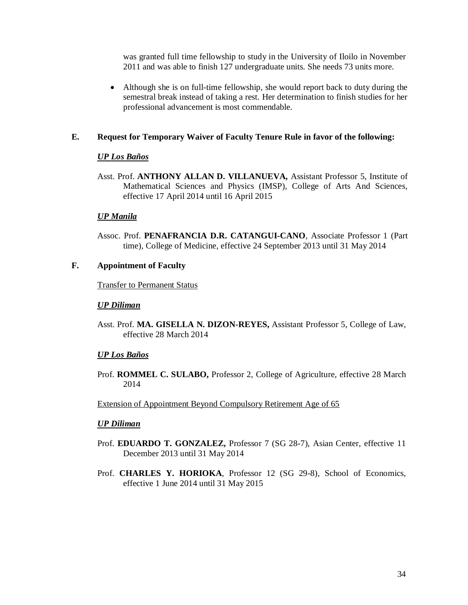was granted full time fellowship to study in the University of Iloilo in November 2011 and was able to finish 127 undergraduate units. She needs 73 units more.

 Although she is on full-time fellowship, she would report back to duty during the semestral break instead of taking a rest. Her determination to finish studies for her professional advancement is most commendable.

#### **E. Request for Temporary Waiver of Faculty Tenure Rule in favor of the following:**

#### *UP Los Baños*

Asst. Prof. **ANTHONY ALLAN D. VILLANUEVA,** Assistant Professor 5, Institute of Mathematical Sciences and Physics (IMSP), College of Arts And Sciences, effective 17 April 2014 until 16 April 2015

#### *UP Manila*

Assoc. Prof. **PENAFRANCIA D.R. CATANGUI-CANO**, Associate Professor 1 (Part time), College of Medicine, effective 24 September 2013 until 31 May 2014

#### **F. Appointment of Faculty**

Transfer to Permanent Status

#### *UP Diliman*

Asst. Prof. **MA. GISELLA N. DIZON-REYES,** Assistant Professor 5, College of Law, effective 28 March 2014

#### *UP Los Baños*

Prof. **ROMMEL C. SULABO,** Professor 2, College of Agriculture, effective 28 March 2014

#### Extension of Appointment Beyond Compulsory Retirement Age of 65

#### *UP Diliman*

- Prof. **EDUARDO T. GONZALEZ,** Professor 7 (SG 28-7), Asian Center, effective 11 December 2013 until 31 May 2014
- Prof. **CHARLES Y. HORIOKA**, Professor 12 (SG 29-8), School of Economics, effective 1 June 2014 until 31 May 2015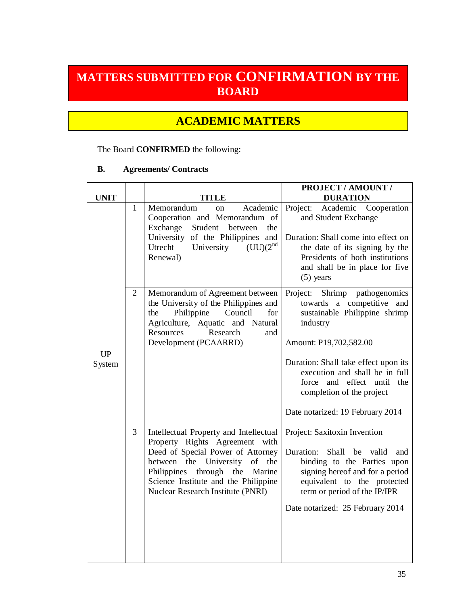# **MATTERS SUBMITTED FOR CONFIRMATION BY THE BOARD**

# **ACADEMIC MATTERS**

### The Board **CONFIRMED** the following:

#### **B. Agreements/ Contracts**

| <b>UNIT</b>                |                | TITLE                                                                                                                                                                                                                                                                  | PROJECT / AMOUNT /<br><b>DURATION</b>                                                                                                                                                                                                                                                                               |
|----------------------------|----------------|------------------------------------------------------------------------------------------------------------------------------------------------------------------------------------------------------------------------------------------------------------------------|---------------------------------------------------------------------------------------------------------------------------------------------------------------------------------------------------------------------------------------------------------------------------------------------------------------------|
|                            | $\mathbf{1}$   | Academic<br>Memorandum<br>on<br>Cooperation and Memorandum of<br>Exchange<br>Student<br>between<br>the<br>University of the Philippines and<br>(UU)(2 <sup>nd</sup> )<br>Utrecht<br>University<br>Renewal)                                                             | Project:<br>Cooperation<br>Academic<br>and Student Exchange<br>Duration: Shall come into effect on<br>the date of its signing by the<br>Presidents of both institutions<br>and shall be in place for five<br>$(5)$ years                                                                                            |
| <b>UP</b><br><b>System</b> | $\overline{2}$ | Memorandum of Agreement between<br>the University of the Philippines and<br>Philippine<br>for<br>Council<br>the<br>Agriculture, Aquatic and Natural<br>Resources<br>Research<br>and<br>Development (PCAARRD)                                                           | Shrimp<br>pathogenomics<br>Project:<br>towards a competitive and<br>sustainable Philippine shrimp<br>industry<br>Amount: P19,702,582.00<br>Duration: Shall take effect upon its<br>execution and shall be in full<br>force and effect until<br>the<br>completion of the project<br>Date notarized: 19 February 2014 |
|                            | $\overline{3}$ | Intellectual Property and Intellectual<br>Property Rights Agreement with<br>Deed of Special Power of Attorney<br>between the University<br>of the<br>Philippines<br>through the<br>Marine<br>Science Institute and the Philippine<br>Nuclear Research Institute (PNRI) | Project: Saxitoxin Invention<br>Shall be valid<br>Duration:<br>and<br>binding to the Parties upon<br>signing hereof and for a period<br>equivalent to the protected<br>term or period of the IP/IPR<br>Date notarized: 25 February 2014                                                                             |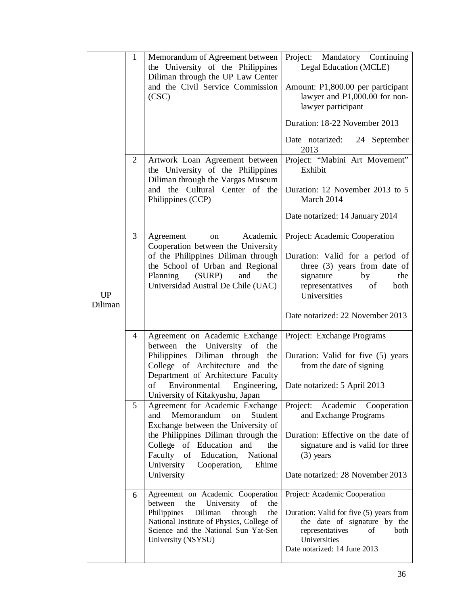| <b>UP</b><br>Diliman | $\mathbf{1}$ | Memorandum of Agreement between<br>the University of the Philippines<br>Diliman through the UP Law Center<br>and the Civil Service Commission<br>(CSC)                                                                                                                                                                                                                  | Project: Mandatory Continuing<br>Legal Education (MCLE)<br>Amount: P1,800.00 per participant<br>lawyer and P1,000.00 for non-<br>lawyer participant<br>Duration: 18-22 November 2013<br>Date notarized: 24 September<br>2013 |
|----------------------|--------------|-------------------------------------------------------------------------------------------------------------------------------------------------------------------------------------------------------------------------------------------------------------------------------------------------------------------------------------------------------------------------|------------------------------------------------------------------------------------------------------------------------------------------------------------------------------------------------------------------------------|
|                      | 2            | Artwork Loan Agreement between<br>the University of the Philippines<br>Diliman through the Vargas Museum<br>and the Cultural Center of the<br>Philippines (CCP)                                                                                                                                                                                                         | Project: "Mabini Art Movement"<br>Exhibit<br>Duration: 12 November 2013 to 5<br>March 2014<br>Date notarized: 14 January 2014                                                                                                |
|                      | 3            | Academic<br>Agreement<br>on<br>Cooperation between the University<br>of the Philippines Diliman through<br>the School of Urban and Regional<br>Planning<br>(SURP)<br>and<br>the<br>Universidad Austral De Chile (UAC)                                                                                                                                                   | Project: Academic Cooperation<br>Duration: Valid for a period of<br>three $(3)$ years from date of<br>signature<br>by<br>the<br>representatives<br>of<br>both<br>Universities<br>Date notarized: 22 November 2013            |
|                      | 4<br>5       | Agreement on Academic Exchange<br>University of the<br>between the<br>Philippines Diliman through<br>the<br>College of Architecture and the<br>Department of Architecture Faculty<br>of<br>Environmental Engineering,<br>University of Kitakyushu, Japan<br>Agreement for Academic Exchange<br>Memorandum<br>Student<br>and<br>on<br>Exchange between the University of | Project: Exchange Programs<br>Duration: Valid for five (5) years<br>from the date of signing<br>Date notarized: 5 April 2013<br>Project: Academic<br>Cooperation<br>and Exchange Programs                                    |
|                      |              | the Philippines Diliman through the<br>College of Education and<br>the<br>Faculty of Education,<br>National<br>University<br>Cooperation,<br>Ehime<br>University                                                                                                                                                                                                        | Duration: Effective on the date of<br>signature and is valid for three<br>$(3)$ years<br>Date notarized: 28 November 2013                                                                                                    |
|                      | 6            | Agreement on Academic Cooperation<br>the<br>University<br>between<br>of<br>the<br>Philippines<br>Diliman<br>through<br>the<br>National Institute of Physics, College of<br>Science and the National Sun Yat-Sen<br>University (NSYSU)                                                                                                                                   | Project: Academic Cooperation<br>Duration: Valid for five (5) years from<br>the date of signature by the<br>representatives<br>both<br>of<br>Universities<br>Date notarized: 14 June 2013                                    |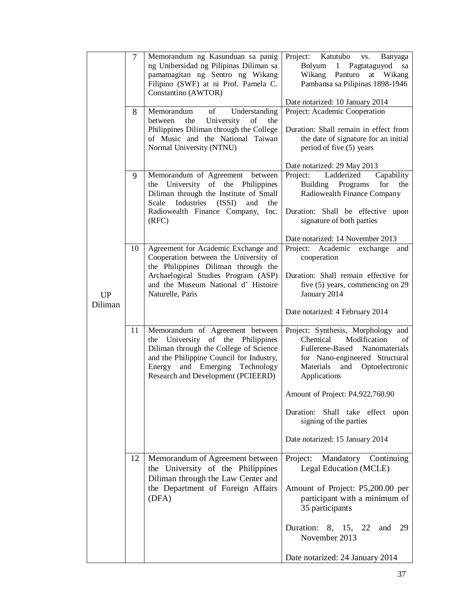|           | 7  | Memorandum ng Kasunduan sa panig<br>ng Unibersidad ng Pilipinas Diliman sa<br>pamamagitan ng Sentro ng Wikang<br>Filipino (SWF) at ni Prof. Pamela C.<br>Constantino (AWTOR)                                                          | Project: Katutubo<br>VS.<br>Banyaga<br>Bolyum<br>1 Pagtataguyod<br>sa<br>Wikang Panturo<br>at Wikang<br>Pambansa sa Pilipinas 1898-1946                                                       |
|-----------|----|---------------------------------------------------------------------------------------------------------------------------------------------------------------------------------------------------------------------------------------|-----------------------------------------------------------------------------------------------------------------------------------------------------------------------------------------------|
|           | 8  | Understanding<br>Memorandum<br>of                                                                                                                                                                                                     | Date notarized: 10 January 2014<br>Project: Academic Cooperation                                                                                                                              |
|           |    | University<br>of<br>between<br>the<br>the<br>Philippines Diliman through the College<br>of Music and the National Taiwan<br>Normal University (NTNU)                                                                                  | Duration: Shall remain in effect from<br>the date of signature for an initial<br>period of five (5) years                                                                                     |
|           |    |                                                                                                                                                                                                                                       | Date notarized: 29 May 2013                                                                                                                                                                   |
|           | 9  | Memorandum of Agreement between<br>the University of the Philippines<br>Diliman through the Institute of Small<br>Industries (ISSI)<br>Scale<br>and<br>the<br>Radiowealth Finance Company,<br>Inc.                                    | Project:<br>Ladderized<br>Capability<br>for<br>Building<br>Programs<br>the<br>Radiowealth Finance Company<br>Duration: Shall be effective upon                                                |
|           |    | (RFC)                                                                                                                                                                                                                                 | signature of both parties                                                                                                                                                                     |
|           | 10 | Agreement for Academic Exchange and                                                                                                                                                                                                   | Date notarized: 14 November 2013<br>Project: Academic exchange<br>and                                                                                                                         |
|           |    | Cooperation between the University of                                                                                                                                                                                                 | cooperation                                                                                                                                                                                   |
| <b>UP</b> |    | the Philippines Diliman through the<br>Archaelogical Studies Program (ASP)<br>and the Museum National d'Histoire<br>Naturelle, Paris                                                                                                  | Duration: Shall remain effective for<br>five $(5)$ years, commencing on 29<br>January 2014                                                                                                    |
| Diliman   |    |                                                                                                                                                                                                                                       | Date notarized: 4 February 2014                                                                                                                                                               |
|           | 11 | Memorandum of Agreement between<br>the University of the Philippines<br>Diliman through the College of Science<br>and the Philippine Council for Industry,<br>and Emerging Technology<br>Energy<br>Research and Development (PCIEERD) | Project: Synthesis, Morphology and<br>Modification<br>Chemical<br>οť<br>Fullerene-Based<br>Nanomaterials<br>for Nano-engineered Structural<br>Materials<br>and Optoelectronic<br>Applications |
|           |    |                                                                                                                                                                                                                                       | Amount of Project: P4,922,760.90                                                                                                                                                              |
|           |    |                                                                                                                                                                                                                                       | Duration: Shall take effect upon<br>signing of the parties                                                                                                                                    |
|           |    |                                                                                                                                                                                                                                       | Date notarized: 15 January 2014                                                                                                                                                               |
|           | 12 | Memorandum of Agreement between<br>the University of the Philippines<br>Diliman through the Law Center and                                                                                                                            | Project:<br>Mandatory Continuing<br>Legal Education (MCLE)                                                                                                                                    |
|           |    | the Department of Foreign Affairs<br>(DFA)                                                                                                                                                                                            | Amount of Project: P5,200.00 per<br>participant with a minimum of<br>35 participants                                                                                                          |
|           |    |                                                                                                                                                                                                                                       | Duration: 8, 15, 22<br>29<br>and<br>November 2013                                                                                                                                             |
|           |    |                                                                                                                                                                                                                                       | Date notarized: 24 January 2014                                                                                                                                                               |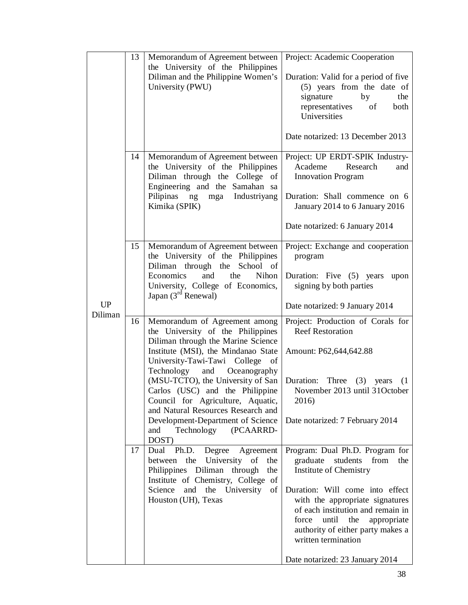| 13       | Memorandum of Agreement between<br>the University of the Philippines<br>Diliman and the Philippine Women's<br>University (PWU)                                                                                                                                                                                                                                                                                                                                                                                                                                                                                                                                             | Project: Academic Cooperation<br>Duration: Valid for a period of five<br>(5) years from the date of<br>signature<br>by<br>the<br>representatives<br>of<br>both<br>Universities<br>Date notarized: 13 December 2013                                                                                                                                                                                                                                                                                                                                                    |
|----------|----------------------------------------------------------------------------------------------------------------------------------------------------------------------------------------------------------------------------------------------------------------------------------------------------------------------------------------------------------------------------------------------------------------------------------------------------------------------------------------------------------------------------------------------------------------------------------------------------------------------------------------------------------------------------|-----------------------------------------------------------------------------------------------------------------------------------------------------------------------------------------------------------------------------------------------------------------------------------------------------------------------------------------------------------------------------------------------------------------------------------------------------------------------------------------------------------------------------------------------------------------------|
| 14       | Memorandum of Agreement between<br>the University of the Philippines<br>Diliman through the College of<br>Engineering and the Samahan sa<br>Pilipinas ng mga Industriyang<br>Kimika (SPIK)                                                                                                                                                                                                                                                                                                                                                                                                                                                                                 | Project: UP ERDT-SPIK Industry-<br>Academe<br>Research<br>and<br><b>Innovation Program</b><br>Duration: Shall commence on 6<br>January 2014 to 6 January 2016<br>Date notarized: 6 January 2014                                                                                                                                                                                                                                                                                                                                                                       |
| 15       | Memorandum of Agreement between<br>the University of the Philippines<br>Diliman through the School of<br>Economics<br>and<br>the<br>Nihon<br>University, College of Economics,<br>Japan $(3rd$ Renewal)                                                                                                                                                                                                                                                                                                                                                                                                                                                                    | Project: Exchange and cooperation<br>program<br>Duration: Five (5) years<br>upon<br>signing by both parties<br>Date notarized: 9 January 2014                                                                                                                                                                                                                                                                                                                                                                                                                         |
| 16<br>17 | Memorandum of Agreement among<br>the University of the Philippines<br>Diliman through the Marine Science<br>Institute (MSI), the Mindanao State<br>University-Tawi-Tawi College of<br>and Oceanography<br>Technology<br>(MSU-TCTO), the University of San<br>Carlos (USC) and the Philippine<br>Council for Agriculture, Aquatic,<br>and Natural Resources Research and<br>Development-Department of Science<br>Technology (PCAARRD-<br>and<br>DOST)<br>Degree<br>Ph.D.<br>Dual<br>Agreement<br>between the<br>University of<br>the<br>Philippines Diliman through<br>the<br>Institute of Chemistry, College of<br>Science and the University<br>of<br>Houston (UH), Texas | Project: Production of Corals for<br><b>Reef Restoration</b><br>Amount: P62,644,642.88<br>Duration:<br>Three $(3)$<br>years<br>(1)<br>November 2013 until 31October<br>2016)<br>Date notarized: 7 February 2014<br>Program: Dual Ph.D. Program for<br>graduate<br>students<br>from<br>the<br>Institute of Chemistry<br>Duration: Will come into effect<br>with the appropriate signatures<br>of each institution and remain in<br>until<br>the<br>force<br>appropriate<br>authority of either party makes a<br>written termination<br>Date notarized: 23 January 2014 |
|          |                                                                                                                                                                                                                                                                                                                                                                                                                                                                                                                                                                                                                                                                            |                                                                                                                                                                                                                                                                                                                                                                                                                                                                                                                                                                       |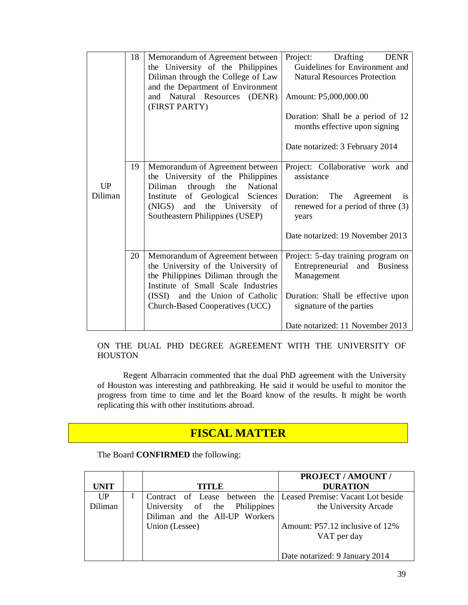|         | 18 | Memorandum of Agreement between<br>the University of the Philippines<br>Diliman through the College of Law                                           | Project:<br>Drafting<br><b>DENR</b><br>Guidelines for Environment and<br><b>Natural Resources Protection</b> |
|---------|----|------------------------------------------------------------------------------------------------------------------------------------------------------|--------------------------------------------------------------------------------------------------------------|
|         |    | and the Department of Environment<br>Natural Resources (DENR)<br>and<br>(FIRST PARTY)                                                                | Amount: P5,000,000.00                                                                                        |
|         |    |                                                                                                                                                      | Duration: Shall be a period of 12<br>months effective upon signing                                           |
|         |    |                                                                                                                                                      | Date notarized: 3 February 2014                                                                              |
| UP      | 19 | Memorandum of Agreement between<br>the University of the Philippines<br>through<br>National<br>Diliman<br>the                                        | Project: Collaborative work and<br>assistance                                                                |
| Diliman |    | of Geological Sciences<br>Institute<br>and the University of<br>(NIGS)<br>Southeastern Philippines (USEP)                                            | Duration: The<br>Agreement<br>is<br>renewed for a period of three (3)<br>years                               |
|         |    |                                                                                                                                                      | Date notarized: 19 November 2013                                                                             |
|         | 20 | Memorandum of Agreement between<br>the University of the University of<br>the Philippines Diliman through the<br>Institute of Small Scale Industries | Project: 5-day training program on<br>Entrepreneurial and Business<br>Management                             |
|         |    | (ISSI) and the Union of Catholic<br>Church-Based Cooperatives (UCC)                                                                                  | Duration: Shall be effective upon<br>signature of the parties                                                |
|         |    |                                                                                                                                                      | Date notarized: 11 November 2013                                                                             |

ON THE DUAL PHD DEGREE AGREEMENT WITH THE UNIVERSITY OF HOUSTON

Regent Albarracin commented that the dual PhD agreement with the University of Houston was interesting and pathbreaking. He said it would be useful to monitor the progress from time to time and let the Board know of the results. It might be worth replicating this with other institutions abroad.

## **FISCAL MATTER**

The Board **CONFIRMED** the following:

|             |                                                                 | <b>PROJECT / AMOUNT /</b>       |
|-------------|-----------------------------------------------------------------|---------------------------------|
| <b>UNIT</b> | <b>TITLE</b>                                                    | <b>DURATION</b>                 |
| UP          | Contract of Lease between the Leased Premise: Vacant Lot beside |                                 |
| Diliman     | University of the Philippines                                   | the University Arcade           |
|             | Diliman and the All-UP Workers                                  |                                 |
|             | Union (Lessee)                                                  | Amount: P57.12 inclusive of 12% |
|             |                                                                 | VAT per day                     |
|             |                                                                 |                                 |
|             |                                                                 | Date notarized: 9 January 2014  |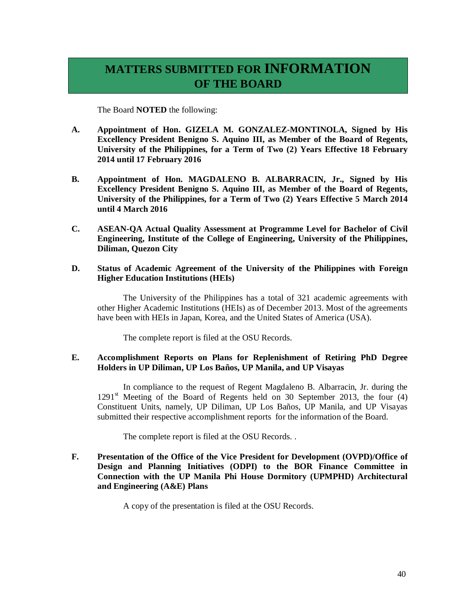## **MATTERS SUBMITTED FOR INFORMATION OF THE BOARD**

The Board **NOTED** the following:

- **A. Appointment of Hon. GIZELA M. GONZALEZ-MONTINOLA, Signed by His Excellency President Benigno S. Aquino III, as Member of the Board of Regents, University of the Philippines, for a Term of Two (2) Years Effective 18 February 2014 until 17 February 2016**
- **B. Appointment of Hon. MAGDALENO B. ALBARRACIN, Jr., Signed by His Excellency President Benigno S. Aquino III, as Member of the Board of Regents, University of the Philippines, for a Term of Two (2) Years Effective 5 March 2014 until 4 March 2016**
- **C. ASEAN-QA Actual Quality Assessment at Programme Level for Bachelor of Civil Engineering, Institute of the College of Engineering, University of the Philippines, Diliman, Quezon City**
- **D. Status of Academic Agreement of the University of the Philippines with Foreign Higher Education Institutions (HEIs)**

The University of the Philippines has a total of 321 academic agreements with other Higher Academic Institutions (HEIs) as of December 2013. Most of the agreements have been with HEIs in Japan, Korea, and the United States of America (USA).

The complete report is filed at the OSU Records.

#### **E. Accomplishment Reports on Plans for Replenishment of Retiring PhD Degree Holders in UP Diliman, UP Los Baños, UP Manila, and UP Visayas**

In compliance to the request of Regent Magdaleno B. Albarracin, Jr. during the  $1291<sup>st</sup>$  Meeting of the Board of Regents held on 30 September 2013, the four (4) Constituent Units, namely, UP Diliman, UP Los Baños, UP Manila, and UP Visayas submitted their respective accomplishment reports for the information of the Board.

The complete report is filed at the OSU Records. .

**F. Presentation of the Office of the Vice President for Development (OVPD)/Office of Design and Planning Initiatives (ODPI) to the BOR Finance Committee in Connection with the UP Manila Phi House Dormitory (UPMPHD) Architectural and Engineering (A&E) Plans**

A copy of the presentation is filed at the OSU Records.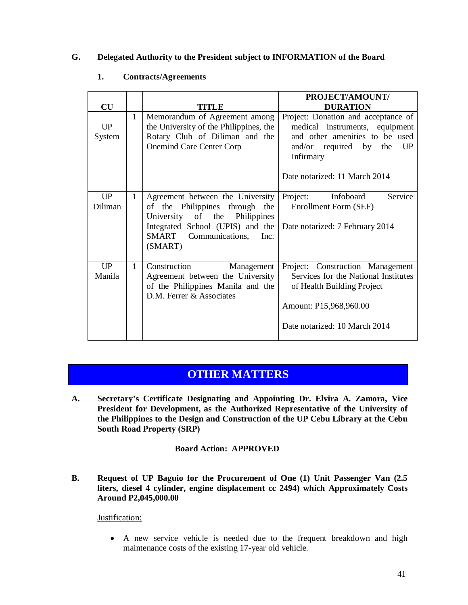#### **G. Delegated Authority to the President subject to INFORMATION of the Board**

|               |              |                                                                                                                                                                                  | PROJECT/AMOUNT/                                                                                                                                                                    |
|---------------|--------------|----------------------------------------------------------------------------------------------------------------------------------------------------------------------------------|------------------------------------------------------------------------------------------------------------------------------------------------------------------------------------|
| CU            |              | TITLE                                                                                                                                                                            | <b>DURATION</b>                                                                                                                                                                    |
| UP<br>System  | 1            | Memorandum of Agreement among<br>the University of the Philippines, the<br>Rotary Club of Diliman and the<br><b>Onemind Care Center Corp</b>                                     | Project: Donation and acceptance of<br>medical instruments, equipment<br>and other amenities to be used<br>and/or required by the UP<br>Infirmary<br>Date notarized: 11 March 2014 |
|               |              |                                                                                                                                                                                  |                                                                                                                                                                                    |
| UP<br>Diliman | $\mathbf{1}$ | Agreement between the University<br>of the Philippines through the<br>University of the Philippines<br>Integrated School (UPIS) and the<br>SMART Communications, Inc.<br>(SMART) | Project:<br>Infoboard<br>Service<br>Enrollment Form (SEF)<br>Date notarized: 7 February 2014                                                                                       |
| UP<br>Manila  | $\mathbf{1}$ | Construction<br>Management<br>Agreement between the University<br>of the Philippines Manila and the<br>D.M. Ferrer & Associates                                                  | Project: Construction Management<br>Services for the National Institutes<br>of Health Building Project<br>Amount: P15,968,960.00<br>Date notarized: 10 March 2014                  |
|               |              |                                                                                                                                                                                  |                                                                                                                                                                                    |

#### **1. Contracts/Agreements**

### **OTHER MATTERS**

**A. Secretary's Certificate Designating and Appointing Dr. Elvira A. Zamora, Vice President for Development, as the Authorized Representative of the University of the Philippines to the Design and Construction of the UP Cebu Library at the Cebu South Road Property (SRP)**

#### **Board Action: APPROVED**

**B. Request of UP Baguio for the Procurement of One (1) Unit Passenger Van (2.5 liters, diesel 4 cylinder, engine displacement cc 2494) which Approximately Costs Around P2,045,000.00**

#### Justification:

 A new service vehicle is needed due to the frequent breakdown and high maintenance costs of the existing 17-year old vehicle.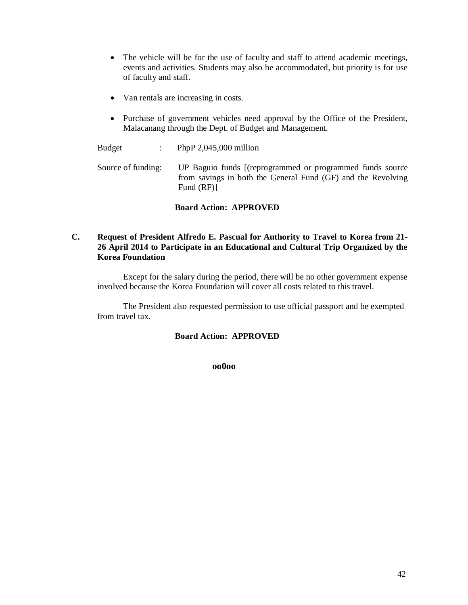- The vehicle will be for the use of faculty and staff to attend academic meetings, events and activities. Students may also be accommodated, but priority is for use of faculty and staff.
- Van rentals are increasing in costs.
- Purchase of government vehicles need approval by the Office of the President, Malacanang through the Dept. of Budget and Management.

Budget : PhpP 2,045,000 million

Source of funding: UP Baguio funds [(reprogrammed or programmed funds source from savings in both the General Fund (GF) and the Revolving Fund (RF)]

#### **Board Action: APPROVED**

#### **C. Request of President Alfredo E. Pascual for Authority to Travel to Korea from 21- 26 April 2014 to Participate in an Educational and Cultural Trip Organized by the Korea Foundation**

Except for the salary during the period, there will be no other government expense involved because the Korea Foundation will cover all costs related to this travel.

The President also requested permission to use official passport and be exempted from travel tax.

#### **Board Action: APPROVED**

 **oo0oo**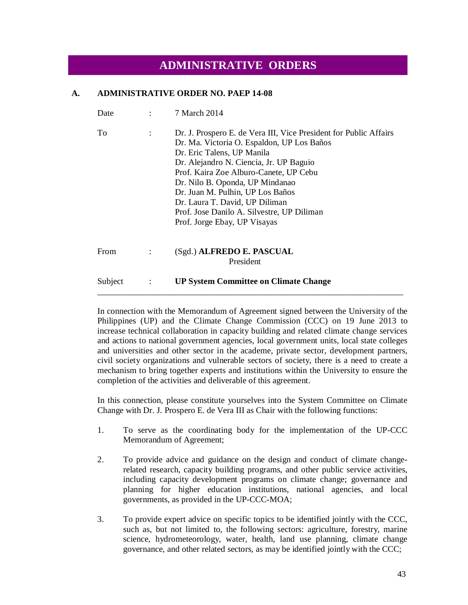### **ADMINISTRATIVE ORDERS**

#### **A. ADMINISTRATIVE ORDER NO. PAEP 14-08**

| Date    | 7 March 2014                                                                                                                                                                                                                                                                                                                                                                                                              |
|---------|---------------------------------------------------------------------------------------------------------------------------------------------------------------------------------------------------------------------------------------------------------------------------------------------------------------------------------------------------------------------------------------------------------------------------|
| Tо      | Dr. J. Prospero E. de Vera III, Vice President for Public Affairs<br>Dr. Ma. Victoria O. Espaldon, UP Los Baños<br>Dr. Eric Talens, UP Manila<br>Dr. Alejandro N. Ciencia, Jr. UP Baguio<br>Prof. Kaira Zoe Alburo-Canete, UP Cebu<br>Dr. Nilo B. Oponda, UP Mindanao<br>Dr. Juan M. Pulhin, UP Los Baños<br>Dr. Laura T. David, UP Diliman<br>Prof. Jose Danilo A. Silvestre, UP Diliman<br>Prof. Jorge Ebay, UP Visayas |
| From    | (Sgd.) ALFREDO E. PASCUAL<br>President                                                                                                                                                                                                                                                                                                                                                                                    |
| Subject | <b>UP System Committee on Climate Change</b>                                                                                                                                                                                                                                                                                                                                                                              |

In connection with the Memorandum of Agreement signed between the University of the Philippines (UP) and the Climate Change Commission (CCC) on 19 June 2013 to increase technical collaboration in capacity building and related climate change services and actions to national government agencies, local government units, local state colleges and universities and other sector in the academe, private sector, development partners, civil society organizations and vulnerable sectors of society, there is a need to create a mechanism to bring together experts and institutions within the University to ensure the completion of the activities and deliverable of this agreement.

\_\_\_\_\_\_\_\_\_\_\_\_\_\_\_\_\_\_\_\_\_\_\_\_\_\_\_\_\_\_\_\_\_\_\_\_\_\_\_\_\_\_\_\_\_\_\_\_\_\_\_\_\_\_\_\_\_\_\_\_\_\_\_\_\_\_\_\_\_\_\_

In this connection, please constitute yourselves into the System Committee on Climate Change with Dr. J. Prospero E. de Vera III as Chair with the following functions:

- 1. To serve as the coordinating body for the implementation of the UP-CCC Memorandum of Agreement;
- 2. To provide advice and guidance on the design and conduct of climate changerelated research, capacity building programs, and other public service activities, including capacity development programs on climate change; governance and planning for higher education institutions, national agencies, and local governments, as provided in the UP-CCC-MOA;
- 3. To provide expert advice on specific topics to be identified jointly with the CCC, such as, but not limited to, the following sectors: agriculture, forestry, marine science, hydrometeorology, water, health, land use planning, climate change governance, and other related sectors, as may be identified jointly with the CCC;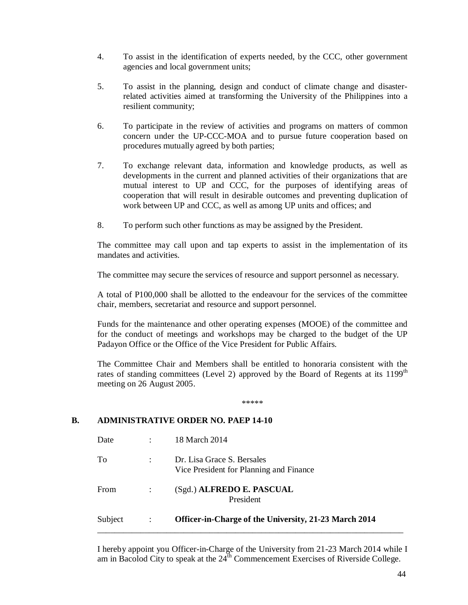- 4. To assist in the identification of experts needed, by the CCC, other government agencies and local government units;
- 5. To assist in the planning, design and conduct of climate change and disasterrelated activities aimed at transforming the University of the Philippines into a resilient community;
- 6. To participate in the review of activities and programs on matters of common concern under the UP-CCC-MOA and to pursue future cooperation based on procedures mutually agreed by both parties;
- 7. To exchange relevant data, information and knowledge products, as well as developments in the current and planned activities of their organizations that are mutual interest to UP and CCC, for the purposes of identifying areas of cooperation that will result in desirable outcomes and preventing duplication of work between UP and CCC, as well as among UP units and offices; and
- 8. To perform such other functions as may be assigned by the President.

The committee may call upon and tap experts to assist in the implementation of its mandates and activities.

The committee may secure the services of resource and support personnel as necessary.

A total of P100,000 shall be allotted to the endeavour for the services of the committee chair, members, secretariat and resource and support personnel.

Funds for the maintenance and other operating expenses (MOOE) of the committee and for the conduct of meetings and workshops may be charged to the budget of the UP Padayon Office or the Office of the Vice President for Public Affairs.

The Committee Chair and Members shall be entitled to honoraria consistent with the rates of standing committees (Level 2) approved by the Board of Regents at its 1199<sup>th</sup> meeting on 26 August 2005.

\*\*\*\*\*

#### **B. ADMINISTRATIVE ORDER NO. PAEP 14-10**

| Subject | ÷              | <b>Officer-in-Charge of the University, 21-23 March 2014</b>          |
|---------|----------------|-----------------------------------------------------------------------|
| From    | $\ddot{\cdot}$ | (Sgd.) ALFREDO E. PASCUAL<br>President                                |
| To      | ÷              | Dr. Lisa Grace S. Bersales<br>Vice President for Planning and Finance |
| Date    | ٠              | 18 March 2014                                                         |

I hereby appoint you Officer-in-Charge of the University from 21-23 March 2014 while I am in Bacolod City to speak at the  $24<sup>th</sup>$  Commencement Exercises of Riverside College.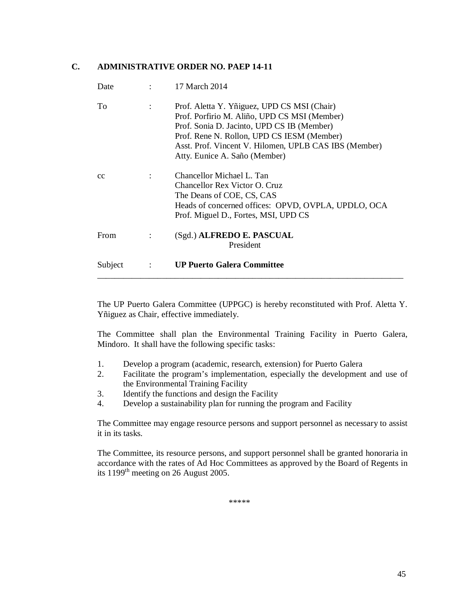#### **C. ADMINISTRATIVE ORDER NO. PAEP 14-11**

| Date    |                      | 17 March 2014                                                                                                                                                                                                                                                                     |
|---------|----------------------|-----------------------------------------------------------------------------------------------------------------------------------------------------------------------------------------------------------------------------------------------------------------------------------|
| To      | $\ddot{\phantom{a}}$ | Prof. Aletta Y. Yñiguez, UPD CS MSI (Chair)<br>Prof. Porfirio M. Aliño, UPD CS MSI (Member)<br>Prof. Sonia D. Jacinto, UPD CS IB (Member)<br>Prof. Rene N. Rollon, UPD CS IESM (Member)<br>Asst. Prof. Vincent V. Hilomen, UPLB CAS IBS (Member)<br>Atty. Eunice A. Saño (Member) |
| cc      | ٠                    | Chancellor Michael L. Tan<br>Chancellor Rex Victor O. Cruz<br>The Deans of COE, CS, CAS<br>Heads of concerned offices: OPVD, OVPLA, UPDLO, OCA<br>Prof. Miguel D., Fortes, MSI, UPD CS                                                                                            |
| From    | $\ddot{\cdot}$       | (Sgd.) ALFREDO E. PASCUAL<br>President                                                                                                                                                                                                                                            |
| Subject | $\ddot{\cdot}$       | <b>UP Puerto Galera Committee</b>                                                                                                                                                                                                                                                 |

The UP Puerto Galera Committee (UPPGC) is hereby reconstituted with Prof. Aletta Y. Yñiguez as Chair, effective immediately.

The Committee shall plan the Environmental Training Facility in Puerto Galera, Mindoro. It shall have the following specific tasks:

- 1. Develop a program (academic, research, extension) for Puerto Galera
- 2. Facilitate the program's implementation, especially the development and use of the Environmental Training Facility
- 3. Identify the functions and design the Facility
- 4. Develop a sustainability plan for running the program and Facility

The Committee may engage resource persons and support personnel as necessary to assist it in its tasks.

The Committee, its resource persons, and support personnel shall be granted honoraria in accordance with the rates of Ad Hoc Committees as approved by the Board of Regents in its  $1199<sup>th</sup>$  meeting on 26 August 2005.

\*\*\*\*\*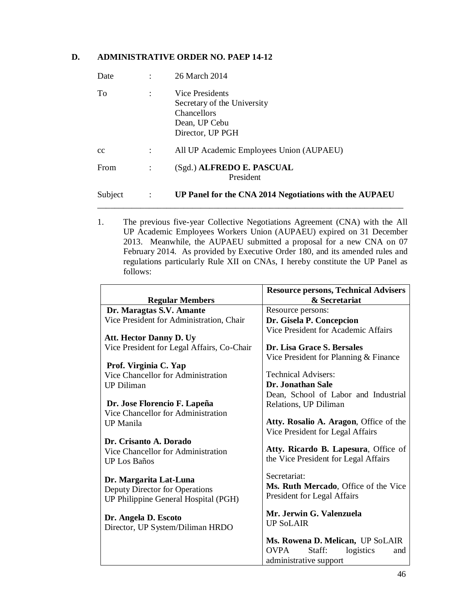#### **D. ADMINISTRATIVE ORDER NO. PAEP 14-12**

| Date    |                | 26 March 2014                                                                                             |
|---------|----------------|-----------------------------------------------------------------------------------------------------------|
| To      | $\ddot{\cdot}$ | Vice Presidents<br>Secretary of the University<br><b>Chancellors</b><br>Dean, UP Cebu<br>Director, UP PGH |
| cc      | ÷              | All UP Academic Employees Union (AUPAEU)                                                                  |
| From    |                | (Sgd.) ALFREDO E. PASCUAL<br>President                                                                    |
| Subject | $\ddot{\cdot}$ | UP Panel for the CNA 2014 Negotiations with the AUPAEU                                                    |

1. The previous five-year Collective Negotiations Agreement (CNA) with the All UP Academic Employees Workers Union (AUPAEU) expired on 31 December 2013. Meanwhile, the AUPAEU submitted a proposal for a new CNA on 07 February 2014. As provided by Executive Order 180, and its amended rules and regulations particularly Rule XII on CNAs, I hereby constitute the UP Panel as follows:

|                                            | <b>Resource persons, Technical Advisers</b> |
|--------------------------------------------|---------------------------------------------|
| <b>Regular Members</b>                     | & Secretariat                               |
| Dr. Maragtas S.V. Amante                   | Resource persons:                           |
| Vice President for Administration, Chair   | Dr. Gisela P. Concepcion                    |
| <b>Att. Hector Danny D. Uy</b>             | Vice President for Academic Affairs         |
| Vice President for Legal Affairs, Co-Chair | Dr. Lisa Grace S. Bersales                  |
|                                            | Vice President for Planning & Finance       |
| Prof. Virginia C. Yap                      |                                             |
| Vice Chancellor for Administration         | <b>Technical Advisers:</b>                  |
| <b>UP</b> Diliman                          | <b>Dr. Jonathan Sale</b>                    |
|                                            | Dean, School of Labor and Industrial        |
| Dr. Jose Florencio F. Lapeña               | Relations, UP Diliman                       |
| Vice Chancellor for Administration         |                                             |
| <b>UP</b> Manila                           | Atty. Rosalio A. Aragon, Office of the      |
|                                            | Vice President for Legal Affairs            |
| Dr. Crisanto A. Dorado                     |                                             |
| Vice Chancellor for Administration         | Atty. Ricardo B. Lapesura, Office of        |
| <b>UP Los Baños</b>                        | the Vice President for Legal Affairs        |
|                                            | Secretariat:                                |
| Dr. Margarita Lat-Luna                     | Ms. Ruth Mercado, Office of the Vice        |
| Deputy Director for Operations             | President for Legal Affairs                 |
| UP Philippine General Hospital (PGH)       |                                             |
| Dr. Angela D. Escoto                       | Mr. Jerwin G. Valenzuela                    |
| Director, UP System/Diliman HRDO           | <b>UP SoLAIR</b>                            |
|                                            |                                             |
|                                            | Ms. Rowena D. Melican, UP SoLAIR            |
|                                            | <b>OVPA</b><br>Staff:<br>logistics<br>and   |
|                                            | administrative support                      |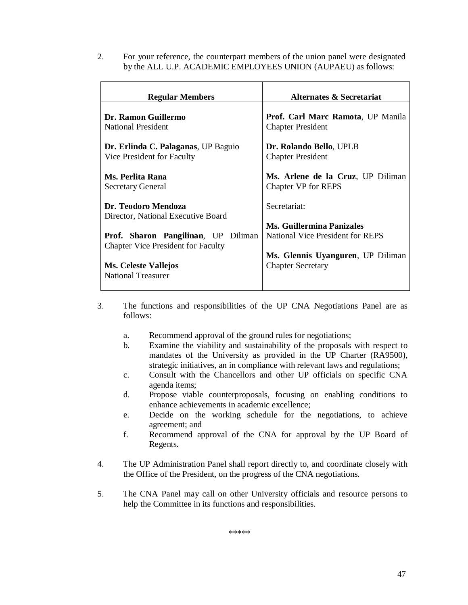2. For your reference, the counterpart members of the union panel were designated by the ALL U.P. ACADEMIC EMPLOYEES UNION (AUPAEU) as follows:

| <b>Regular Members</b>                                                           | <b>Alternates &amp; Secretariat</b>                             |
|----------------------------------------------------------------------------------|-----------------------------------------------------------------|
| Dr. Ramon Guillermo<br>National President                                        | Prof. Carl Marc Ramota, UP Manila<br><b>Chapter President</b>   |
| Dr. Erlinda C. Palaganas, UP Baguio<br>Vice President for Faculty                | Dr. Rolando Bello, UPLB<br><b>Chapter President</b>             |
| Ms. Perlita Rana<br><b>Secretary General</b>                                     | Ms. Arlene de la Cruz, UP Diliman<br><b>Chapter VP for REPS</b> |
| Dr. Teodoro Mendoza<br>Director, National Executive Board                        | Secretariat:                                                    |
|                                                                                  | <b>Ms. Guillermina Panizales</b>                                |
| Prof. Sharon Pangilinan, UP Diliman<br><b>Chapter Vice President for Faculty</b> | National Vice President for REPS                                |
|                                                                                  | Ms. Glennis Uyanguren, UP Diliman                               |
| <b>Ms. Celeste Vallejos</b>                                                      | <b>Chapter Secretary</b>                                        |
| <b>National Treasurer</b>                                                        |                                                                 |
|                                                                                  |                                                                 |

- 3. The functions and responsibilities of the UP CNA Negotiations Panel are as follows:
	- a. Recommend approval of the ground rules for negotiations;
	- b. Examine the viability and sustainability of the proposals with respect to mandates of the University as provided in the UP Charter (RA9500), strategic initiatives, an in compliance with relevant laws and regulations;
	- c. Consult with the Chancellors and other UP officials on specific CNA agenda items;
	- d. Propose viable counterproposals, focusing on enabling conditions to enhance achievements in academic excellence;
	- e. Decide on the working schedule for the negotiations, to achieve agreement; and
	- f. Recommend approval of the CNA for approval by the UP Board of Regents.
- 4. The UP Administration Panel shall report directly to, and coordinate closely with the Office of the President, on the progress of the CNA negotiations.
- 5. The CNA Panel may call on other University officials and resource persons to help the Committee in its functions and responsibilities.

\*\*\*\*\*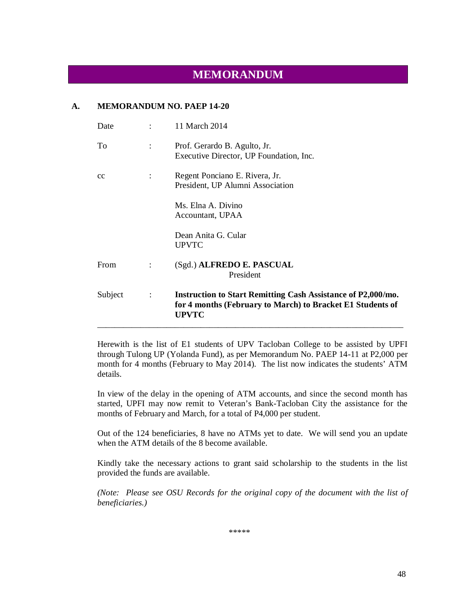### **MEMORANDUM**

#### **A. MEMORANDUM NO. PAEP 14-20**

| Date    |                      | 11 March 2014                                                                                                                                     |
|---------|----------------------|---------------------------------------------------------------------------------------------------------------------------------------------------|
| To      | $\ddot{\phantom{a}}$ | Prof. Gerardo B. Agulto, Jr.<br>Executive Director, UP Foundation, Inc.                                                                           |
| cc      |                      | Regent Ponciano E. Rivera, Jr.<br>President, UP Alumni Association                                                                                |
|         |                      | Ms. Elna A. Divino<br>Accountant, UPAA                                                                                                            |
|         |                      | Dean Anita G. Cular<br><b>UPVTC</b>                                                                                                               |
| From    | $\ddot{\cdot}$       | (Sgd.) ALFREDO E. PASCUAL<br>President                                                                                                            |
| Subject | $\ddot{\cdot}$       | <b>Instruction to Start Remitting Cash Assistance of P2,000/mo.</b><br>for 4 months (February to March) to Bracket E1 Students of<br><b>UPVTC</b> |

Herewith is the list of E1 students of UPV Tacloban College to be assisted by UPFI through Tulong UP (Yolanda Fund), as per Memorandum No. PAEP 14-11 at P2,000 per month for 4 months (February to May 2014). The list now indicates the students' ATM details.

In view of the delay in the opening of ATM accounts, and since the second month has started, UPFI may now remit to Veteran's Bank-Tacloban City the assistance for the months of February and March, for a total of P4,000 per student.

Out of the 124 beneficiaries, 8 have no ATMs yet to date. We will send you an update when the ATM details of the 8 become available.

Kindly take the necessary actions to grant said scholarship to the students in the list provided the funds are available.

*(Note: Please see OSU Records for the original copy of the document with the list of beneficiaries.)*

\*\*\*\*\*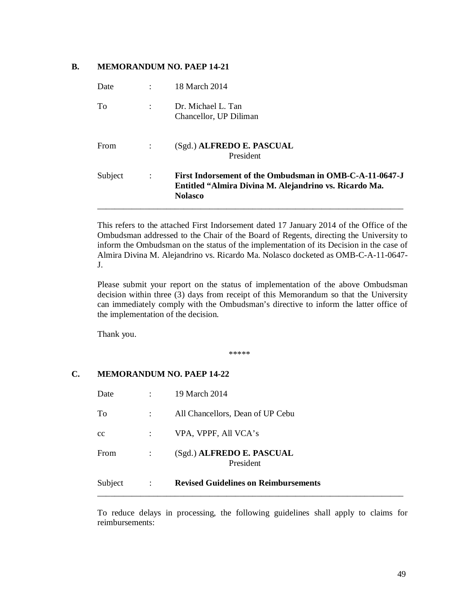#### **B. MEMORANDUM NO. PAEP 14-21**

| Date        |                | 18 March 2014                                                                                                                       |
|-------------|----------------|-------------------------------------------------------------------------------------------------------------------------------------|
| To          | ÷              | Dr. Michael L. Tan<br>Chancellor, UP Diliman                                                                                        |
| <b>From</b> |                | (Sgd.) ALFREDO E. PASCUAL<br>President                                                                                              |
| Subject     | $\ddot{\cdot}$ | First Indorsement of the Ombudsman in OMB-C-A-11-0647-J<br>Entitled "Almira Divina M. Alejandrino vs. Ricardo Ma.<br><b>Nolasco</b> |

This refers to the attached First Indorsement dated 17 January 2014 of the Office of the Ombudsman addressed to the Chair of the Board of Regents, directing the University to inform the Ombudsman on the status of the implementation of its Decision in the case of Almira Divina M. Alejandrino vs. Ricardo Ma. Nolasco docketed as OMB-C-A-11-0647- J.

Please submit your report on the status of implementation of the above Ombudsman decision within three (3) days from receipt of this Memorandum so that the University can immediately comply with the Ombudsman's directive to inform the latter office of the implementation of the decision.

Thank you.

\*\*\*\*\*

#### **C. MEMORANDUM NO. PAEP 14-22**

| Subject | $\ddot{\cdot}$       | <b>Revised Guidelines on Reimbursements</b> |
|---------|----------------------|---------------------------------------------|
| From    | $\ddot{\phantom{a}}$ | (Sgd.) ALFREDO E. PASCUAL<br>President      |
| cc      | $\ddot{\cdot}$       | VPA, VPPF, All VCA's                        |
| To      | ÷                    | All Chancellors, Dean of UP Cebu            |
| Date    | $\ddot{\cdot}$       | 19 March 2014                               |

To reduce delays in processing, the following guidelines shall apply to claims for reimbursements: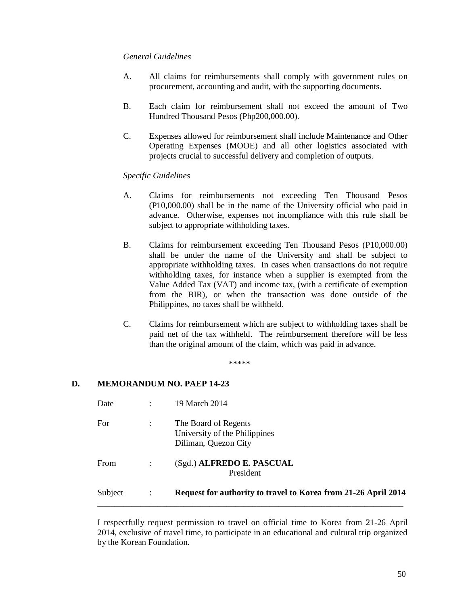#### *General Guidelines*

- A. All claims for reimbursements shall comply with government rules on procurement, accounting and audit, with the supporting documents.
- B. Each claim for reimbursement shall not exceed the amount of Two Hundred Thousand Pesos (Php200,000.00).
- C. Expenses allowed for reimbursement shall include Maintenance and Other Operating Expenses (MOOE) and all other logistics associated with projects crucial to successful delivery and completion of outputs.

#### *Specific Guidelines*

- A. Claims for reimbursements not exceeding Ten Thousand Pesos (P10,000.00) shall be in the name of the University official who paid in advance. Otherwise, expenses not incompliance with this rule shall be subject to appropriate withholding taxes.
- B. Claims for reimbursement exceeding Ten Thousand Pesos (P10,000.00) shall be under the name of the University and shall be subject to appropriate withholding taxes. In cases when transactions do not require withholding taxes, for instance when a supplier is exempted from the Value Added Tax (VAT) and income tax, (with a certificate of exemption from the BIR), or when the transaction was done outside of the Philippines, no taxes shall be withheld.
- C. Claims for reimbursement which are subject to withholding taxes shall be paid net of the tax withheld. The reimbursement therefore will be less than the original amount of the claim, which was paid in advance.

\*\*\*\*\*

#### **D. MEMORANDUM NO. PAEP 14-23**

| Subject | $\ddot{\cdot}$ | Request for authority to travel to Korea from 21-26 April 2014                |
|---------|----------------|-------------------------------------------------------------------------------|
| From    |                | (Sgd.) ALFREDO E. PASCUAL<br>President                                        |
| For     |                | The Board of Regents<br>University of the Philippines<br>Diliman, Quezon City |
| Date    |                | 19 March 2014                                                                 |

I respectfully request permission to travel on official time to Korea from 21-26 April 2014, exclusive of travel time, to participate in an educational and cultural trip organized by the Korean Foundation.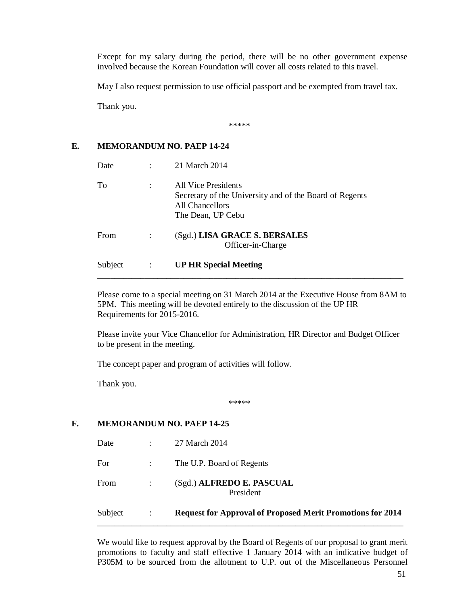Except for my salary during the period, there will be no other government expense involved because the Korean Foundation will cover all costs related to this travel.

May I also request permission to use official passport and be exempted from travel tax.

Thank you.

\*\*\*\*\*

#### **E. MEMORANDUM NO. PAEP 14-24**

| Date    | 21 March 2014                                                                                                          |
|---------|------------------------------------------------------------------------------------------------------------------------|
| To      | All Vice Presidents<br>Secretary of the University and of the Board of Regents<br>All Chancellors<br>The Dean, UP Cebu |
| From    | (Sgd.) LISA GRACE S. BERSALES<br>Officer-in-Charge                                                                     |
| Subject | <b>UP HR Special Meeting</b>                                                                                           |

Please come to a special meeting on 31 March 2014 at the Executive House from 8AM to 5PM. This meeting will be devoted entirely to the discussion of the UP HR Requirements for 2015-2016.

\_\_\_\_\_\_\_\_\_\_\_\_\_\_\_\_\_\_\_\_\_\_\_\_\_\_\_\_\_\_\_\_\_\_\_\_\_\_\_\_\_\_\_\_\_\_\_\_\_\_\_\_\_\_\_\_\_\_\_\_\_\_\_\_\_\_\_\_\_\_\_

Please invite your Vice Chancellor for Administration, HR Director and Budget Officer to be present in the meeting.

The concept paper and program of activities will follow.

Thank you.

\*\*\*\*\*

#### **F. MEMORANDUM NO. PAEP 14-25**

| Subject | $\ddot{\phantom{a}}$                                        | <b>Request for Approval of Proposed Merit Promotions for 2014</b> |
|---------|-------------------------------------------------------------|-------------------------------------------------------------------|
| From    |                                                             | (Sgd.) ALFREDO E. PASCUAL<br>President                            |
| For     | $\mathcal{I}^{\mathcal{I}}$ and $\mathcal{I}^{\mathcal{I}}$ | The U.P. Board of Regents                                         |
| Date    |                                                             | 27 March 2014                                                     |

We would like to request approval by the Board of Regents of our proposal to grant merit promotions to faculty and staff effective 1 January 2014 with an indicative budget of P305M to be sourced from the allotment to U.P. out of the Miscellaneous Personnel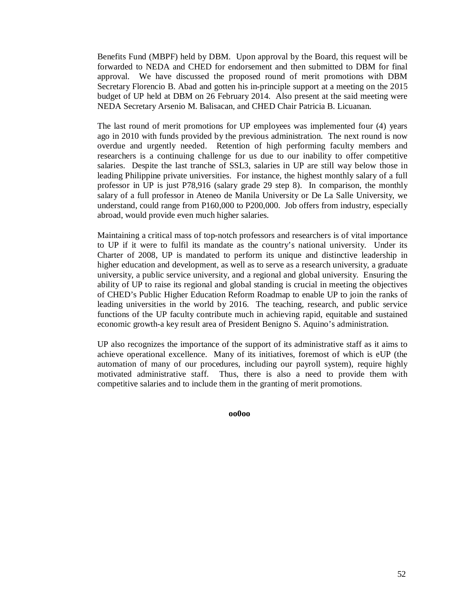Benefits Fund (MBPF) held by DBM. Upon approval by the Board, this request will be forwarded to NEDA and CHED for endorsement and then submitted to DBM for final approval. We have discussed the proposed round of merit promotions with DBM Secretary Florencio B. Abad and gotten his in-principle support at a meeting on the 2015 budget of UP held at DBM on 26 February 2014. Also present at the said meeting were NEDA Secretary Arsenio M. Balisacan, and CHED Chair Patricia B. Licuanan.

The last round of merit promotions for UP employees was implemented four (4) years ago in 2010 with funds provided by the previous administration. The next round is now overdue and urgently needed. Retention of high performing faculty members and researchers is a continuing challenge for us due to our inability to offer competitive salaries. Despite the last tranche of SSL3, salaries in UP are still way below those in leading Philippine private universities. For instance, the highest monthly salary of a full professor in UP is just P78,916 (salary grade 29 step 8). In comparison, the monthly salary of a full professor in Ateneo de Manila University or De La Salle University, we understand, could range from P160,000 to P200,000. Job offers from industry, especially abroad, would provide even much higher salaries.

Maintaining a critical mass of top-notch professors and researchers is of vital importance to UP if it were to fulfil its mandate as the country's national university. Under its Charter of 2008, UP is mandated to perform its unique and distinctive leadership in higher education and development, as well as to serve as a research university, a graduate university, a public service university, and a regional and global university. Ensuring the ability of UP to raise its regional and global standing is crucial in meeting the objectives of CHED's Public Higher Education Reform Roadmap to enable UP to join the ranks of leading universities in the world by 2016. The teaching, research, and public service functions of the UP faculty contribute much in achieving rapid, equitable and sustained economic growth-a key result area of President Benigno S. Aquino's administration.

UP also recognizes the importance of the support of its administrative staff as it aims to achieve operational excellence. Many of its initiatives, foremost of which is eUP (the automation of many of our procedures, including our payroll system), require highly motivated administrative staff. Thus, there is also a need to provide them with competitive salaries and to include them in the granting of merit promotions.

**oo0oo**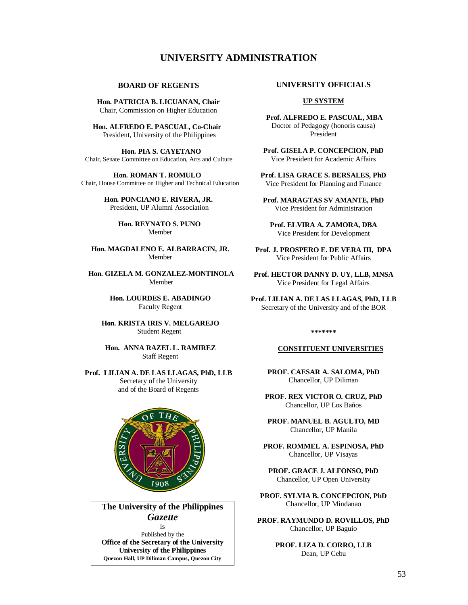#### **UNIVERSITY ADMINISTRATION**

#### **BOARD OF REGENTS**

**Hon. PATRICIA B. LICUANAN, Chair** Chair, Commission on Higher Education

 **Hon. ALFREDO E. PASCUAL, Co-Chair** President, University of the Philippines

 **Hon. PIA S. CAYETANO** Chair, Senate Committee on Education, Arts and Culture

 **Hon. ROMAN T. ROMULO** Chair, House Committee on Higher and Technical Education

> **Hon. PONCIANO E. RIVERA, JR.** President, UP Alumni Association

> > **Hon. REYNATO S. PUNO** Member

 **Hon. MAGDALENO E. ALBARRACIN, JR.** Member

 **Hon. GIZELA M. GONZALEZ-MONTINOLA** Member

> **Hon. LOURDES E. ABADINGO** Faculty Regent

 **Hon. KRISTA IRIS V. MELGAREJO** Student Regent

 **Hon. ANNA RAZEL L. RAMIREZ** Staff Regent

**Prof. LILIAN A. DE LAS LLAGAS, PhD, LLB** Secretary of the University and of the Board of Regents



#### **The University of the Philippines**  *Gazette* is

Published by the **Office of the Secretary of the University University of the Philippines Quezon Hall, UP Diliman Campus, Quezon City**

#### **UNIVERSITY OFFICIALS**

#### **UP SYSTEM**

**Prof. ALFREDO E. PASCUAL, MBA**  Doctor of Pedagogy (honoris causa) President

**Prof. GISELA P. CONCEPCION, PhD** Vice President for Academic Affairs

**Prof. LISA GRACE S. BERSALES, PhD** Vice President for Planning and Finance

**Prof. MARAGTAS SV AMANTE, PhD** Vice President for Administration

**Prof. ELVIRA A. ZAMORA, DBA** Vice President for Development

**Prof. J. PROSPERO E. DE VERA III, DPA** Vice President for Public Affairs

**Prof. HECTOR DANNY D. UY, LLB, MNSA** Vice President for Legal Affairs

**Prof. LILIAN A. DE LAS LLAGAS, PhD, LLB** Secretary of the University and of the BOR

**\*\*\*\*\*\*\***

#### **CONSTITUENT UNIVERSITIES**

**PROF. CAESAR A. SALOMA, PhD** Chancellor, UP Diliman

**PROF. REX VICTOR O. CRUZ, PhD** Chancellor, UP Los Baños

**PROF. MANUEL B. AGULTO, MD** Chancellor, UP Manila

**PROF. ROMMEL A. ESPINOSA, PhD** Chancellor, UP Visayas

**PROF. GRACE J. ALFONSO, PhD** Chancellor, UP Open University

**PROF. SYLVIA B. CONCEPCION, PhD** Chancellor, UP Mindanao

**PROF. RAYMUNDO D. ROVILLOS, PhD** Chancellor, UP Baguio

> **PROF. LIZA D. CORRO, LLB** Dean, UP Cebu